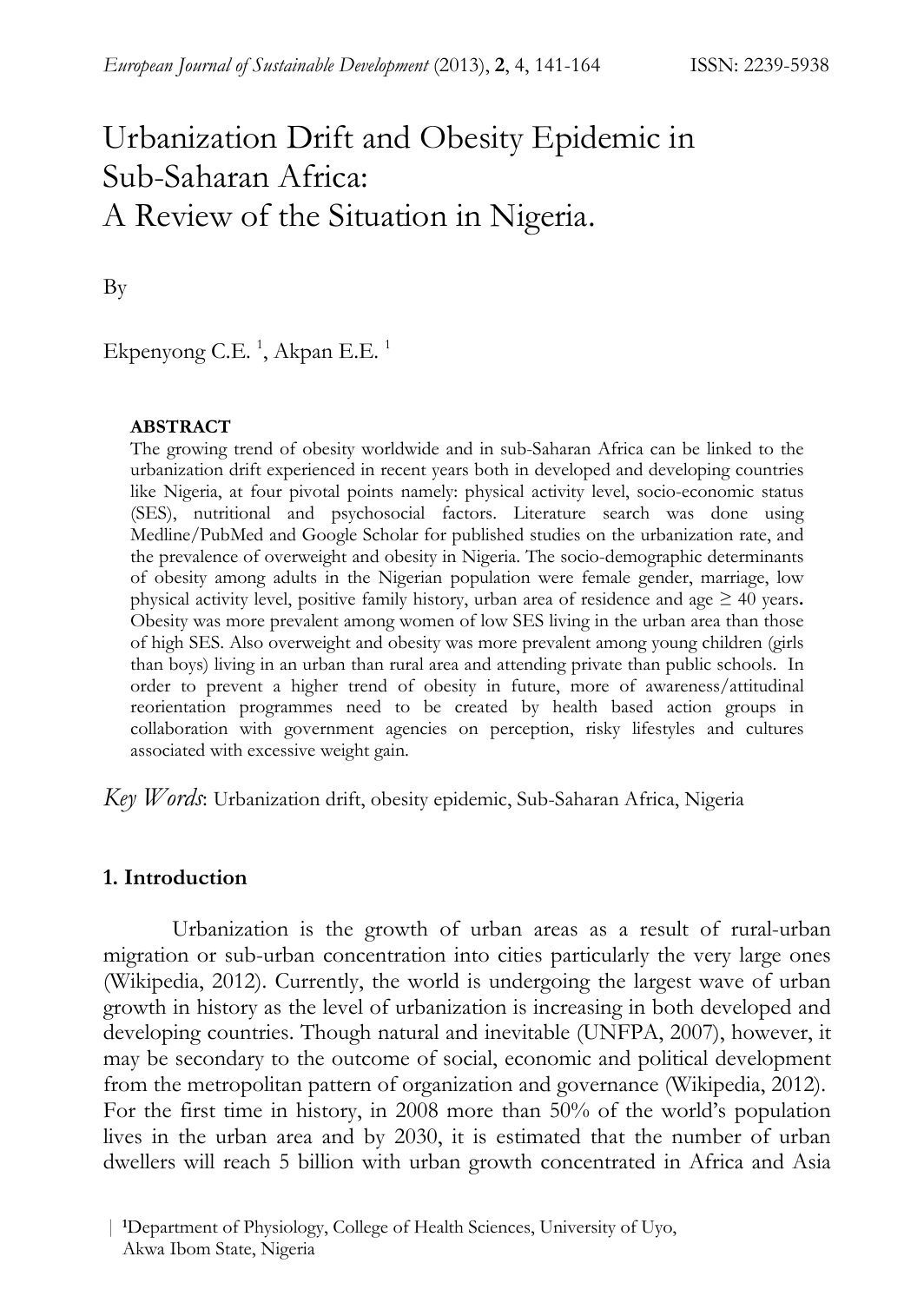# Urbanization Drift and Obesity Epidemic in Sub-Saharan Africa: A Review of the Situation in Nigeria.

By

Ekpenyong C.E.<sup>1</sup>, Akpan E.E.<sup>1</sup>

#### **ABSTRACT**

The growing trend of obesity worldwide and in sub-Saharan Africa can be linked to the urbanization drift experienced in recent years both in developed and developing countries like Nigeria, at four pivotal points namely: physical activity level, socio-economic status (SES), nutritional and psychosocial factors. Literature search was done using Medline/PubMed and Google Scholar for published studies on the urbanization rate, and the prevalence of overweight and obesity in Nigeria. The socio-demographic determinants of obesity among adults in the Nigerian population were female gender, marriage, low physical activity level, positive family history, urban area of residence and age ≥ 40 years**.**  Obesity was more prevalent among women of low SES living in the urban area than those of high SES. Also overweight and obesity was more prevalent among young children (girls than boys) living in an urban than rural area and attending private than public schools. In order to prevent a higher trend of obesity in future, more of awareness/attitudinal reorientation programmes need to be created by health based action groups in collaboration with government agencies on perception, risky lifestyles and cultures associated with excessive weight gain.

*Key Words*: Urbanization drift, obesity epidemic, Sub-Saharan Africa, Nigeria

## **1. Introduction**

Urbanization is the growth of urban areas as a result of rural-urban migration or sub-urban concentration into cities particularly the very large ones (Wikipedia, 2012). Currently, the world is undergoing the largest wave of urban growth in history as the level of urbanization is increasing in both developed and developing countries. Though natural and inevitable (UNFPA, 2007), however, it may be secondary to the outcome of social, economic and political development from the metropolitan pattern of organization and governance (Wikipedia, 2012). For the first time in history, in 2008 more than 50% of the world's population lives in the urban area and by 2030, it is estimated that the number of urban dwellers will reach 5 billion with urban growth concentrated in Africa and Asia

<sup>|</sup> **1**Department of Physiology, College of Health Sciences, University of Uyo, Akwa Ibom State, Nigeria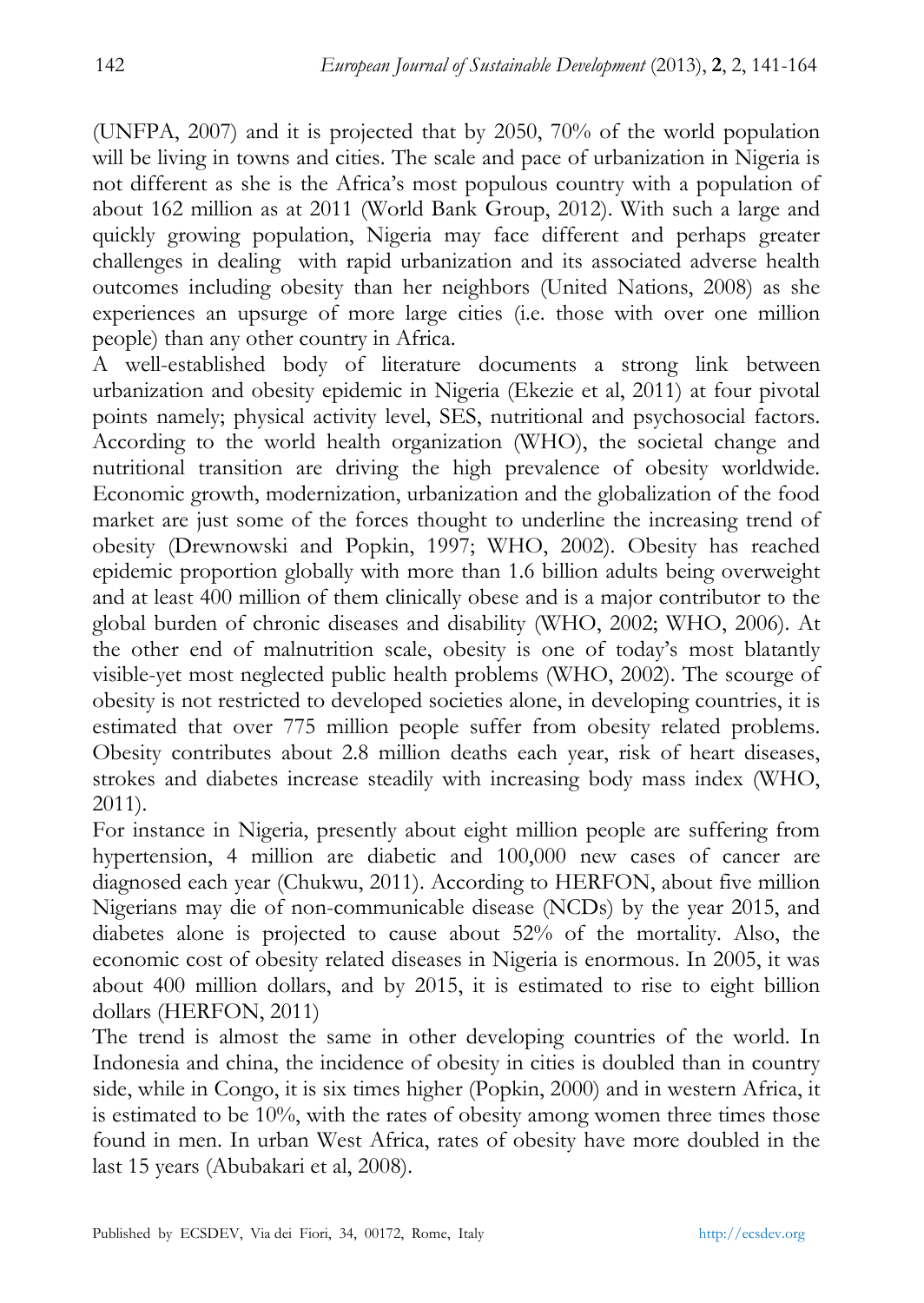(UNFPA, 2007) and it is projected that by 2050, 70% of the world population will be living in towns and cities. The scale and pace of urbanization in Nigeria is not different as she is the Africa's most populous country with a population of about 162 million as at 2011 (World Bank Group, 2012). With such a large and quickly growing population, Nigeria may face different and perhaps greater challenges in dealing with rapid urbanization and its associated adverse health outcomes including obesity than her neighbors (United Nations, 2008) as she experiences an upsurge of more large cities (i.e. those with over one million people) than any other country in Africa.

A well-established body of literature documents a strong link between urbanization and obesity epidemic in Nigeria (Ekezie et al, 2011) at four pivotal points namely; physical activity level, SES, nutritional and psychosocial factors. According to the world health organization (WHO), the societal change and nutritional transition are driving the high prevalence of obesity worldwide. Economic growth, modernization, urbanization and the globalization of the food market are just some of the forces thought to underline the increasing trend of obesity (Drewnowski and Popkin, 1997; WHO, 2002). Obesity has reached epidemic proportion globally with more than 1.6 billion adults being overweight and at least 400 million of them clinically obese and is a major contributor to the global burden of chronic diseases and disability (WHO, 2002; WHO, 2006). At the other end of malnutrition scale, obesity is one of today's most blatantly visible-yet most neglected public health problems (WHO, 2002). The scourge of obesity is not restricted to developed societies alone, in developing countries, it is estimated that over 775 million people suffer from obesity related problems. Obesity contributes about 2.8 million deaths each year, risk of heart diseases, strokes and diabetes increase steadily with increasing body mass index (WHO, 2011).

For instance in Nigeria, presently about eight million people are suffering from hypertension, 4 million are diabetic and 100,000 new cases of cancer are diagnosed each year (Chukwu, 2011). According to HERFON, about five million Nigerians may die of non-communicable disease (NCDs) by the year 2015, and diabetes alone is projected to cause about 52% of the mortality. Also, the economic cost of obesity related diseases in Nigeria is enormous. In 2005, it was about 400 million dollars, and by 2015, it is estimated to rise to eight billion dollars (HERFON, 2011)

The trend is almost the same in other developing countries of the world. In Indonesia and china, the incidence of obesity in cities is doubled than in country side, while in Congo, it is six times higher (Popkin, 2000) and in western Africa, it is estimated to be 10%, with the rates of obesity among women three times those found in men. In urban West Africa, rates of obesity have more doubled in the last 15 years (Abubakari et al, 2008).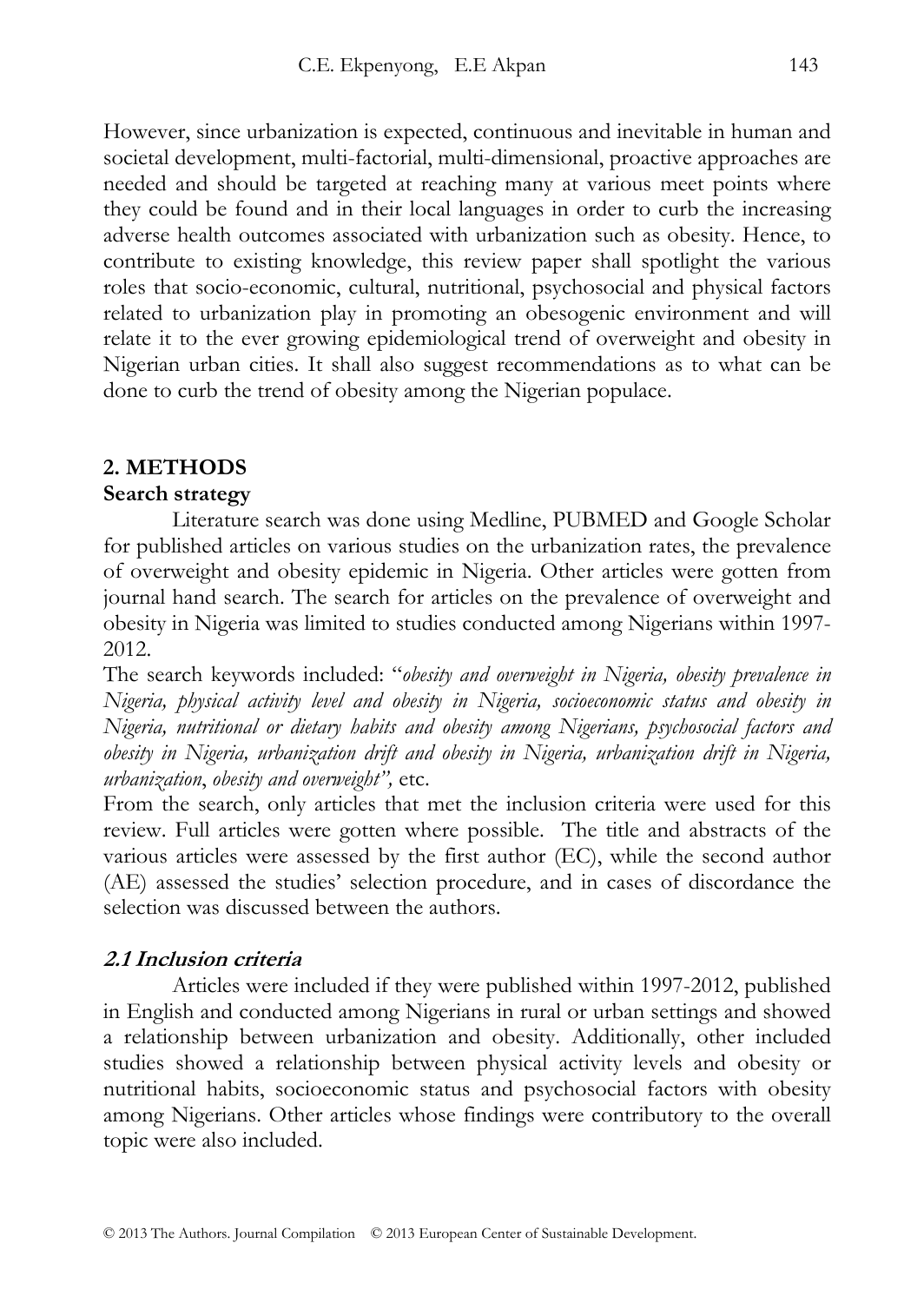However, since urbanization is expected, continuous and inevitable in human and societal development, multi-factorial, multi-dimensional, proactive approaches are needed and should be targeted at reaching many at various meet points where they could be found and in their local languages in order to curb the increasing adverse health outcomes associated with urbanization such as obesity. Hence, to contribute to existing knowledge, this review paper shall spotlight the various roles that socio-economic, cultural, nutritional, psychosocial and physical factors related to urbanization play in promoting an obesogenic environment and will relate it to the ever growing epidemiological trend of overweight and obesity in Nigerian urban cities. It shall also suggest recommendations as to what can be done to curb the trend of obesity among the Nigerian populace.

## **2. METHODS**

#### **Search strategy**

Literature search was done using Medline, PUBMED and Google Scholar for published articles on various studies on the urbanization rates, the prevalence of overweight and obesity epidemic in Nigeria. Other articles were gotten from journal hand search. The search for articles on the prevalence of overweight and obesity in Nigeria was limited to studies conducted among Nigerians within 1997- 2012.

The search keywords included: "*obesity and overweight in Nigeria, obesity prevalence in Nigeria, physical activity level and obesity in Nigeria, socioeconomic status and obesity in Nigeria, nutritional or dietary habits and obesity among Nigerians, psychosocial factors and obesity in Nigeria, urbanization drift and obesity in Nigeria, urbanization drift in Nigeria, urbanization*, *obesity and overweight",* etc.

From the search, only articles that met the inclusion criteria were used for this review. Full articles were gotten where possible. The title and abstracts of the various articles were assessed by the first author (EC), while the second author (AE) assessed the studies' selection procedure, and in cases of discordance the selection was discussed between the authors.

## **2.1 Inclusion criteria**

Articles were included if they were published within 1997-2012, published in English and conducted among Nigerians in rural or urban settings and showed a relationship between urbanization and obesity. Additionally, other included studies showed a relationship between physical activity levels and obesity or nutritional habits, socioeconomic status and psychosocial factors with obesity among Nigerians. Other articles whose findings were contributory to the overall topic were also included.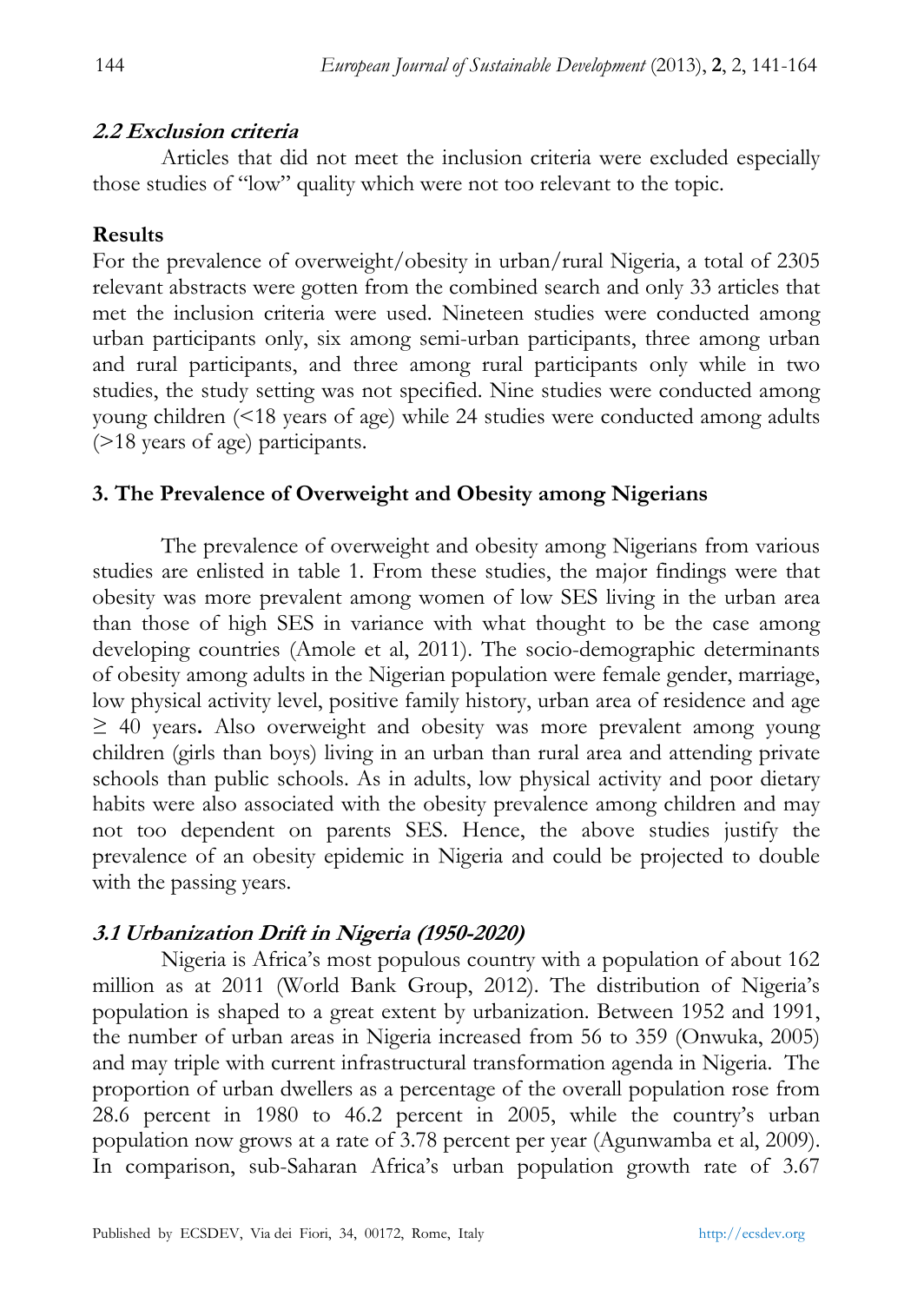## **2.2 Exclusion criteria**

Articles that did not meet the inclusion criteria were excluded especially those studies of "low" quality which were not too relevant to the topic.

## **Results**

For the prevalence of overweight/obesity in urban/rural Nigeria, a total of 2305 relevant abstracts were gotten from the combined search and only 33 articles that met the inclusion criteria were used. Nineteen studies were conducted among urban participants only, six among semi-urban participants, three among urban and rural participants, and three among rural participants only while in two studies, the study setting was not specified. Nine studies were conducted among young children (<18 years of age) while 24 studies were conducted among adults (>18 years of age) participants.

## **3. The Prevalence of Overweight and Obesity among Nigerians**

The prevalence of overweight and obesity among Nigerians from various studies are enlisted in table 1. From these studies, the major findings were that obesity was more prevalent among women of low SES living in the urban area than those of high SES in variance with what thought to be the case among developing countries (Amole et al, 2011). The socio-demographic determinants of obesity among adults in the Nigerian population were female gender, marriage, low physical activity level, positive family history, urban area of residence and age ≥ 40 years**.** Also overweight and obesity was more prevalent among young children (girls than boys) living in an urban than rural area and attending private schools than public schools. As in adults, low physical activity and poor dietary habits were also associated with the obesity prevalence among children and may not too dependent on parents SES. Hence, the above studies justify the prevalence of an obesity epidemic in Nigeria and could be projected to double with the passing years.

## **3.1 Urbanization Drift in Nigeria (1950-2020)**

Nigeria is Africa's most populous country with a population of about 162 million as at 2011 (World Bank Group, 2012). The distribution of Nigeria's population is shaped to a great extent by urbanization. Between 1952 and 1991, the number of urban areas in Nigeria increased from 56 to 359 (Onwuka, 2005) and may triple with current infrastructural transformation agenda in Nigeria. The proportion of urban dwellers as a percentage of the overall population rose from 28.6 percent in 1980 to 46.2 percent in 2005, while the country's urban population now grows at a rate of 3.78 percent per year (Agunwamba et al, 2009). In comparison, sub-Saharan Africa's urban population growth rate of 3.67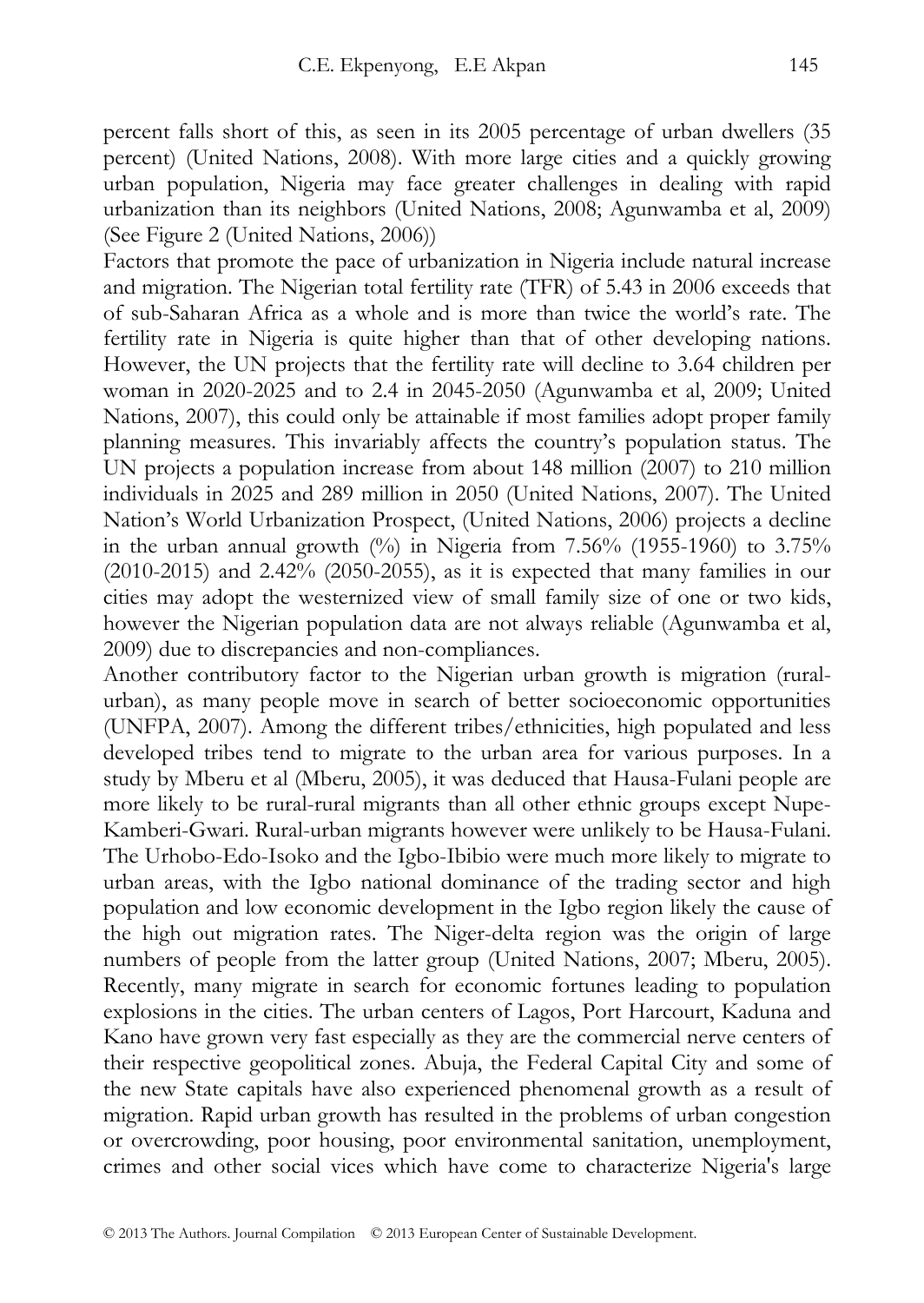percent falls short of this, as seen in its 2005 percentage of urban dwellers (35 percent) (United Nations, 2008). With more large cities and a quickly growing urban population, Nigeria may face greater challenges in dealing with rapid urbanization than its neighbors (United Nations, 2008; Agunwamba et al, 2009) (See Figure 2 (United Nations, 2006))

Factors that promote the pace of urbanization in Nigeria include natural increase and migration. The Nigerian total fertility rate (TFR) of 5.43 in 2006 exceeds that of sub-Saharan Africa as a whole and is more than twice the world's rate. The fertility rate in Nigeria is quite higher than that of other developing nations. However, the UN projects that the fertility rate will decline to 3.64 children per woman in 2020-2025 and to 2.4 in 2045-2050 (Agunwamba et al, 2009; United Nations, 2007), this could only be attainable if most families adopt proper family planning measures. This invariably affects the country's population status. The UN projects a population increase from about 148 million (2007) to 210 million individuals in 2025 and 289 million in 2050 (United Nations, 2007). The United Nation's World Urbanization Prospect, (United Nations, 2006) projects a decline in the urban annual growth  $\frac{1}{2}$  in Nigeria from 7.56% (1955-1960) to 3.75% (2010-2015) and 2.42% (2050-2055), as it is expected that many families in our cities may adopt the westernized view of small family size of one or two kids, however the Nigerian population data are not always reliable (Agunwamba et al, 2009) due to discrepancies and non-compliances.

Another contributory factor to the Nigerian urban growth is migration (ruralurban), as many people move in search of better socioeconomic opportunities (UNFPA, 2007). Among the different tribes/ethnicities, high populated and less developed tribes tend to migrate to the urban area for various purposes. In a study by Mberu et al (Mberu, 2005), it was deduced that Hausa-Fulani people are more likely to be rural-rural migrants than all other ethnic groups except Nupe-Kamberi-Gwari. Rural-urban migrants however were unlikely to be Hausa-Fulani. The Urhobo-Edo-Isoko and the Igbo-Ibibio were much more likely to migrate to urban areas, with the Igbo national dominance of the trading sector and high population and low economic development in the Igbo region likely the cause of the high out migration rates. The Niger-delta region was the origin of large numbers of people from the latter group (United Nations, 2007; Mberu, 2005). Recently, many migrate in search for economic fortunes leading to population explosions in the cities. The urban centers of Lagos, Port Harcourt, Kaduna and Kano have grown very fast especially as they are the commercial nerve centers of their respective geopolitical zones. Abuja, the Federal Capital City and some of the new State capitals have also experienced phenomenal growth as a result of migration. Rapid urban growth has resulted in the problems of urban congestion or overcrowding, poor housing, poor environmental sanitation, unemployment, crimes and other social vices which have come to characterize Nigeria's large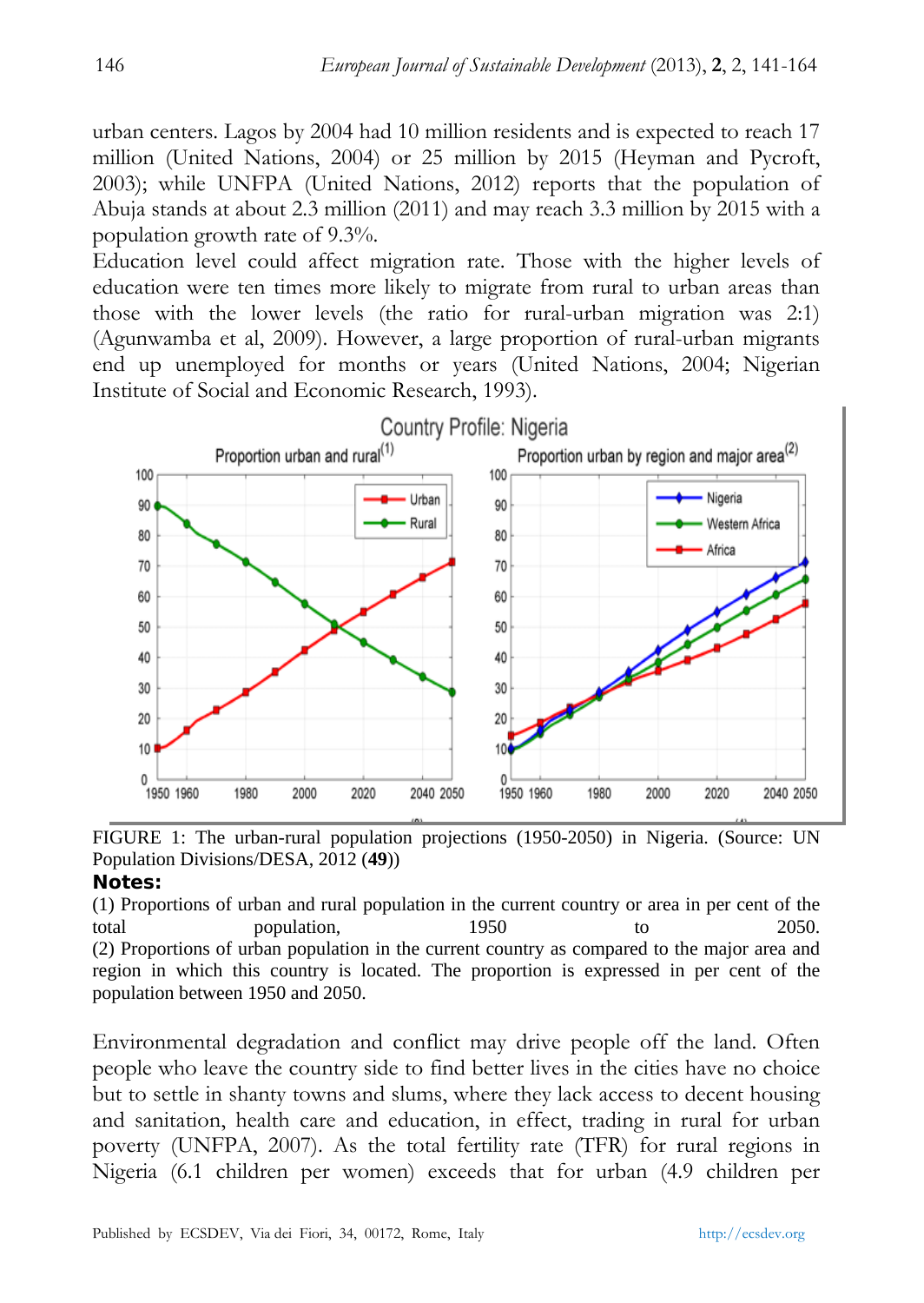urban centers. Lagos by 2004 had 10 million residents and is expected to reach 17 million (United Nations, 2004) or 25 million by 2015 (Heyman and Pycroft, 2003); while UNFPA (United Nations, 2012) reports that the population of Abuja stands at about 2.3 million (2011) and may reach 3.3 million by 2015 with a population growth rate of 9.3%.

Education level could affect migration rate. Those with the higher levels of education were ten times more likely to migrate from rural to urban areas than those with the lower levels (the ratio for rural-urban migration was 2:1) (Agunwamba et al, 2009). However, a large proportion of rural-urban migrants end up unemployed for months or years (United Nations, 2004; Nigerian Institute of Social and Economic Research, 1993).



FIGURE 1: The urban-rural population projections (1950-2050) in Nigeria. (Source: UN Population Divisions/DESA, 2012 (**49**)) **Notes:** 

(1) Proportions of urban and rural population in the current country or area in per cent of the total population, 1950 to 2050. (2) Proportions of urban population in the current country as compared to the major area and region in which this country is located. The proportion is expressed in per cent of the population between 1950 and 2050.

Environmental degradation and conflict may drive people off the land. Often people who leave the country side to find better lives in the cities have no choice but to settle in shanty towns and slums, where they lack access to decent housing and sanitation, health care and education, in effect, trading in rural for urban poverty (UNFPA, 2007). As the total fertility rate (TFR) for rural regions in Nigeria (6.1 children per women) exceeds that for urban (4.9 children per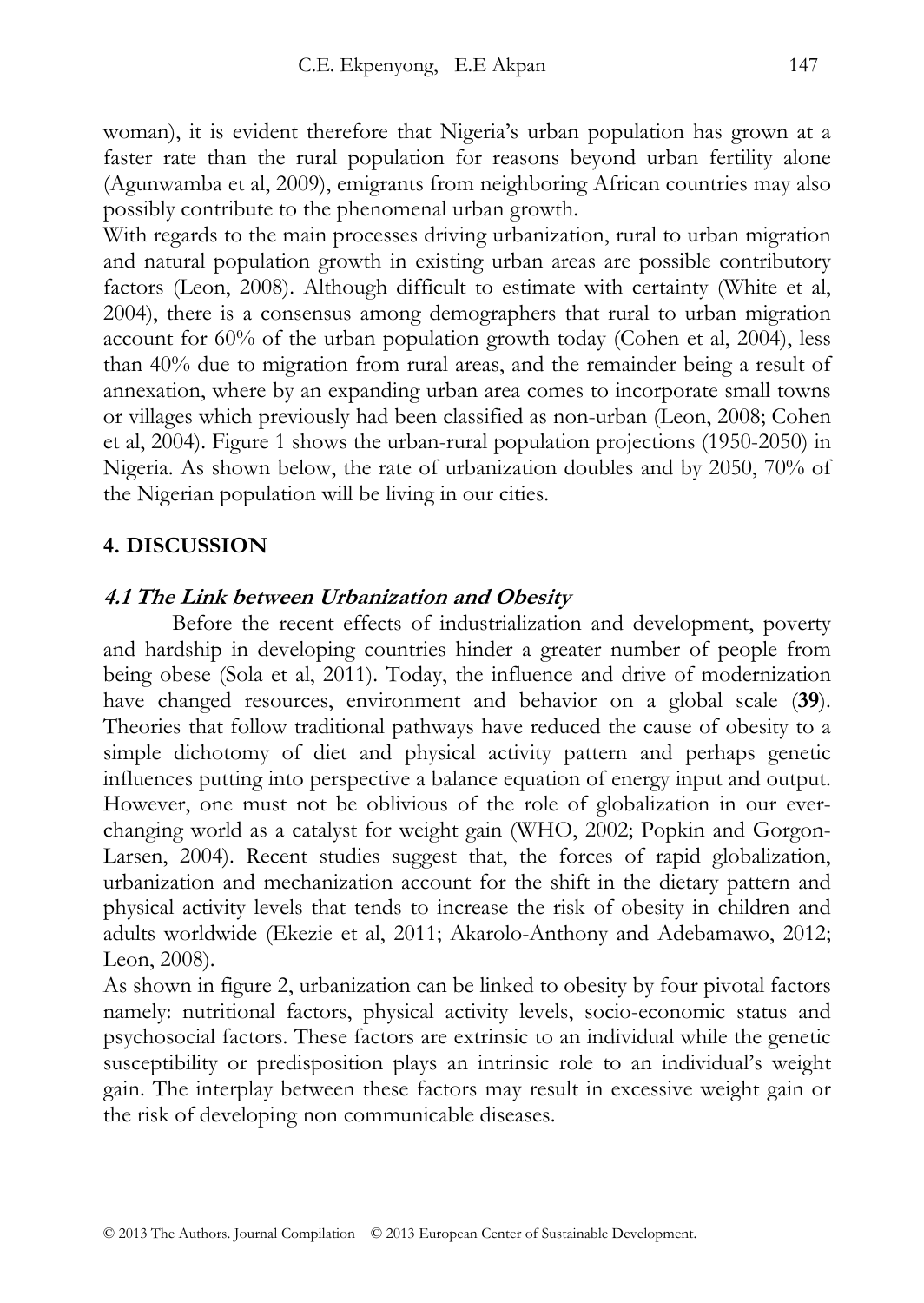woman), it is evident therefore that Nigeria's urban population has grown at a faster rate than the rural population for reasons beyond urban fertility alone (Agunwamba et al, 2009), emigrants from neighboring African countries may also possibly contribute to the phenomenal urban growth.

With regards to the main processes driving urbanization, rural to urban migration and natural population growth in existing urban areas are possible contributory factors (Leon, 2008). Although difficult to estimate with certainty (White et al, 2004), there is a consensus among demographers that rural to urban migration account for 60% of the urban population growth today (Cohen et al, 2004), less than 40% due to migration from rural areas, and the remainder being a result of annexation, where by an expanding urban area comes to incorporate small towns or villages which previously had been classified as non-urban (Leon, 2008; Cohen et al, 2004). Figure 1 shows the urban-rural population projections (1950-2050) in Nigeria. As shown below, the rate of urbanization doubles and by 2050, 70% of the Nigerian population will be living in our cities.

## **4. DISCUSSION**

## **4.1 The Link between Urbanization and Obesity**

Before the recent effects of industrialization and development, poverty and hardship in developing countries hinder a greater number of people from being obese (Sola et al, 2011). Today, the influence and drive of modernization have changed resources, environment and behavior on a global scale (**39**). Theories that follow traditional pathways have reduced the cause of obesity to a simple dichotomy of diet and physical activity pattern and perhaps genetic influences putting into perspective a balance equation of energy input and output. However, one must not be oblivious of the role of globalization in our everchanging world as a catalyst for weight gain (WHO, 2002; Popkin and Gorgon-Larsen, 2004). Recent studies suggest that, the forces of rapid globalization, urbanization and mechanization account for the shift in the dietary pattern and physical activity levels that tends to increase the risk of obesity in children and adults worldwide (Ekezie et al, 2011; Akarolo-Anthony and Adebamawo, 2012; Leon, 2008).

As shown in figure 2, urbanization can be linked to obesity by four pivotal factors namely: nutritional factors, physical activity levels, socio-economic status and psychosocial factors. These factors are extrinsic to an individual while the genetic susceptibility or predisposition plays an intrinsic role to an individual's weight gain. The interplay between these factors may result in excessive weight gain or the risk of developing non communicable diseases.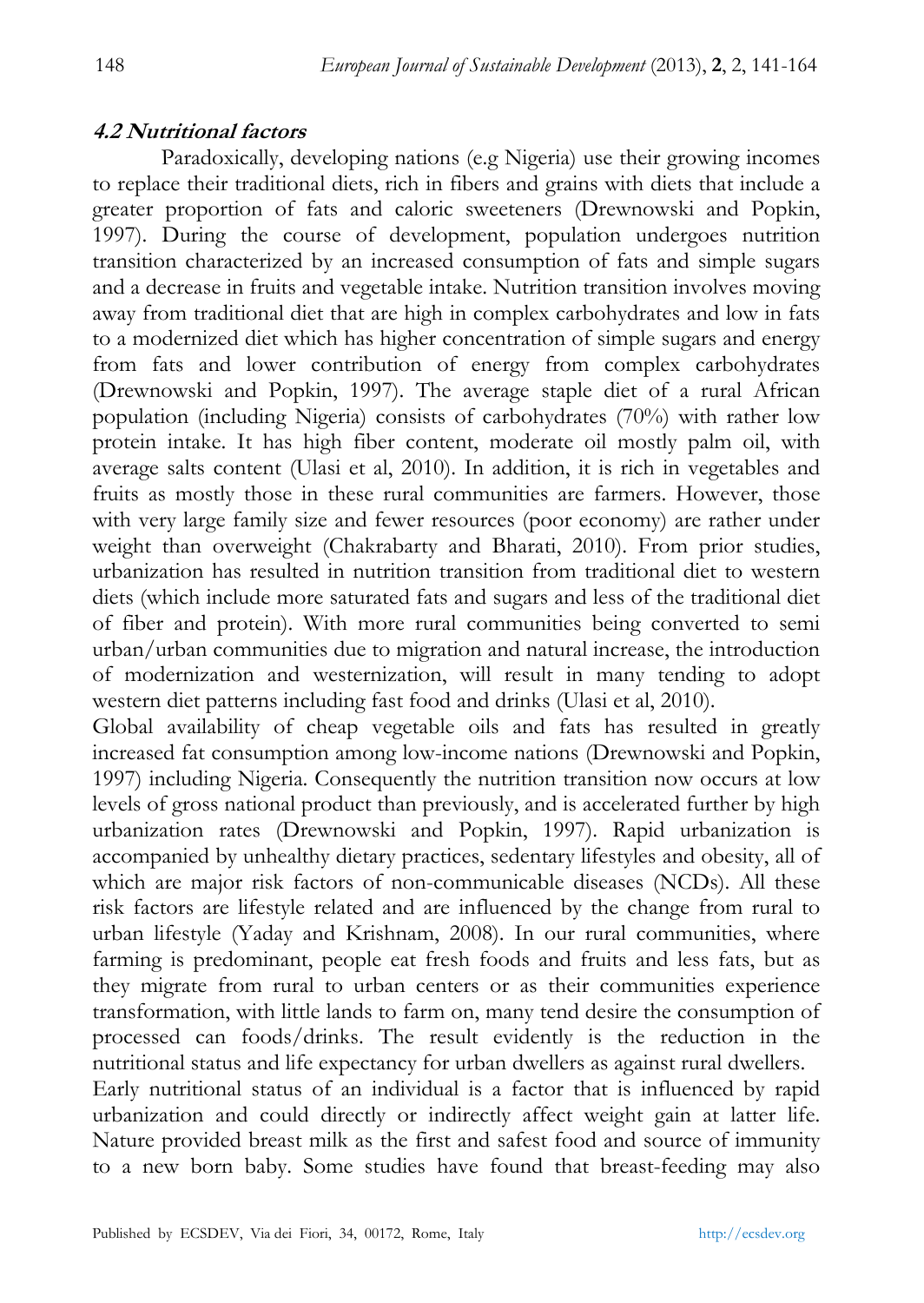## **4.2 Nutritional factors**

Paradoxically, developing nations (e.g Nigeria) use their growing incomes to replace their traditional diets, rich in fibers and grains with diets that include a greater proportion of fats and caloric sweeteners (Drewnowski and Popkin, 1997). During the course of development, population undergoes nutrition transition characterized by an increased consumption of fats and simple sugars and a decrease in fruits and vegetable intake. Nutrition transition involves moving away from traditional diet that are high in complex carbohydrates and low in fats to a modernized diet which has higher concentration of simple sugars and energy from fats and lower contribution of energy from complex carbohydrates (Drewnowski and Popkin, 1997). The average staple diet of a rural African population (including Nigeria) consists of carbohydrates (70%) with rather low protein intake. It has high fiber content, moderate oil mostly palm oil, with average salts content (Ulasi et al, 2010). In addition, it is rich in vegetables and fruits as mostly those in these rural communities are farmers. However, those with very large family size and fewer resources (poor economy) are rather under weight than overweight (Chakrabarty and Bharati, 2010). From prior studies, urbanization has resulted in nutrition transition from traditional diet to western diets (which include more saturated fats and sugars and less of the traditional diet of fiber and protein). With more rural communities being converted to semi urban/urban communities due to migration and natural increase, the introduction of modernization and westernization, will result in many tending to adopt western diet patterns including fast food and drinks (Ulasi et al, 2010).

Global availability of cheap vegetable oils and fats has resulted in greatly increased fat consumption among low-income nations (Drewnowski and Popkin, 1997) including Nigeria. Consequently the nutrition transition now occurs at low levels of gross national product than previously, and is accelerated further by high urbanization rates (Drewnowski and Popkin, 1997). Rapid urbanization is accompanied by unhealthy dietary practices, sedentary lifestyles and obesity, all of which are major risk factors of non-communicable diseases (NCDs). All these risk factors are lifestyle related and are influenced by the change from rural to urban lifestyle (Yaday and Krishnam, 2008). In our rural communities, where farming is predominant, people eat fresh foods and fruits and less fats, but as they migrate from rural to urban centers or as their communities experience transformation, with little lands to farm on, many tend desire the consumption of processed can foods/drinks. The result evidently is the reduction in the nutritional status and life expectancy for urban dwellers as against rural dwellers. Early nutritional status of an individual is a factor that is influenced by rapid

urbanization and could directly or indirectly affect weight gain at latter life. Nature provided breast milk as the first and safest food and source of immunity to a new born baby. Some studies have found that breast-feeding may also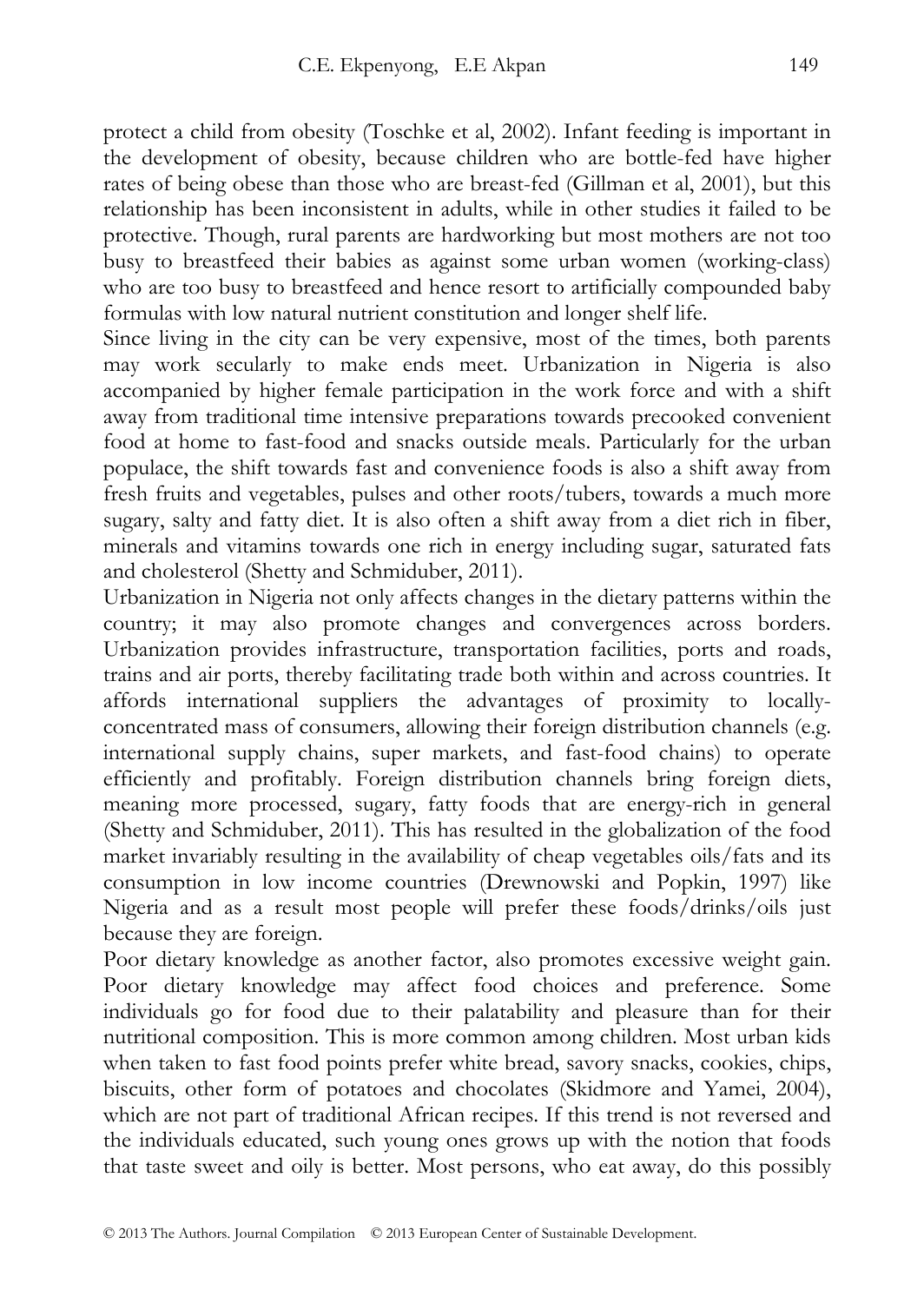protect a child from obesity (Toschke et al, 2002). Infant feeding is important in the development of obesity, because children who are bottle-fed have higher rates of being obese than those who are breast-fed (Gillman et al, 2001), but this relationship has been inconsistent in adults, while in other studies it failed to be protective. Though, rural parents are hardworking but most mothers are not too busy to breastfeed their babies as against some urban women (working-class) who are too busy to breastfeed and hence resort to artificially compounded baby formulas with low natural nutrient constitution and longer shelf life.

Since living in the city can be very expensive, most of the times, both parents may work secularly to make ends meet. Urbanization in Nigeria is also accompanied by higher female participation in the work force and with a shift away from traditional time intensive preparations towards precooked convenient food at home to fast-food and snacks outside meals. Particularly for the urban populace, the shift towards fast and convenience foods is also a shift away from fresh fruits and vegetables, pulses and other roots/tubers, towards a much more sugary, salty and fatty diet. It is also often a shift away from a diet rich in fiber, minerals and vitamins towards one rich in energy including sugar, saturated fats and cholesterol (Shetty and Schmiduber, 2011).

Urbanization in Nigeria not only affects changes in the dietary patterns within the country; it may also promote changes and convergences across borders. Urbanization provides infrastructure, transportation facilities, ports and roads, trains and air ports, thereby facilitating trade both within and across countries. It affords international suppliers the advantages of proximity to locallyconcentrated mass of consumers, allowing their foreign distribution channels (e.g. international supply chains, super markets, and fast-food chains) to operate efficiently and profitably. Foreign distribution channels bring foreign diets, meaning more processed, sugary, fatty foods that are energy-rich in general (Shetty and Schmiduber, 2011). This has resulted in the globalization of the food market invariably resulting in the availability of cheap vegetables oils/fats and its consumption in low income countries (Drewnowski and Popkin, 1997) like Nigeria and as a result most people will prefer these foods/drinks/oils just because they are foreign.

Poor dietary knowledge as another factor, also promotes excessive weight gain. Poor dietary knowledge may affect food choices and preference. Some individuals go for food due to their palatability and pleasure than for their nutritional composition. This is more common among children. Most urban kids when taken to fast food points prefer white bread, savory snacks, cookies, chips, biscuits, other form of potatoes and chocolates (Skidmore and Yamei, 2004), which are not part of traditional African recipes. If this trend is not reversed and the individuals educated, such young ones grows up with the notion that foods that taste sweet and oily is better. Most persons, who eat away, do this possibly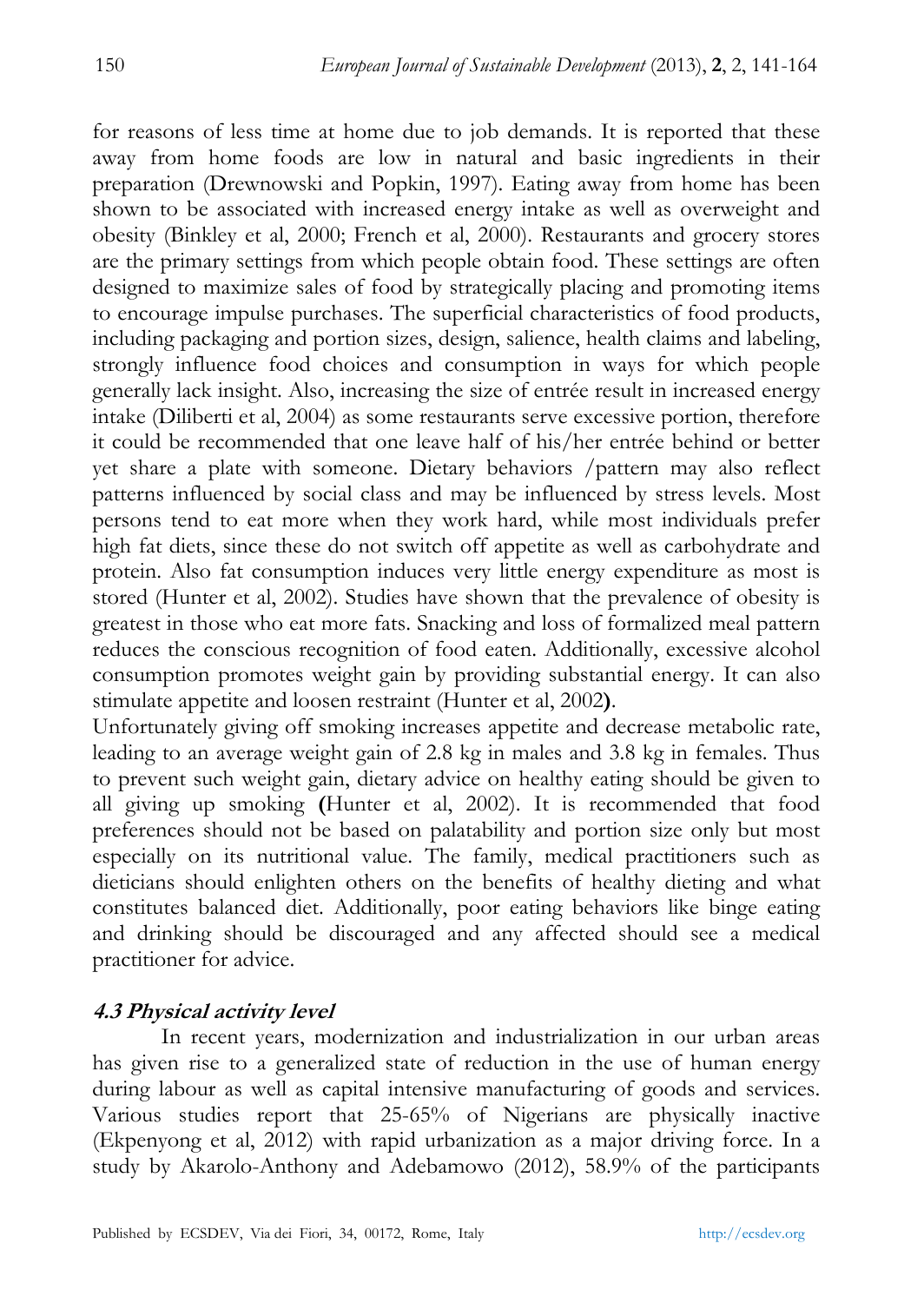for reasons of less time at home due to job demands. It is reported that these away from home foods are low in natural and basic ingredients in their preparation (Drewnowski and Popkin, 1997). Eating away from home has been shown to be associated with increased energy intake as well as overweight and obesity (Binkley et al, 2000; French et al, 2000). Restaurants and grocery stores are the primary settings from which people obtain food. These settings are often designed to maximize sales of food by strategically placing and promoting items to encourage impulse purchases. The superficial characteristics of food products, including packaging and portion sizes, design, salience, health claims and labeling, strongly influence food choices and consumption in ways for which people generally lack insight. Also, increasing the size of entrée result in increased energy intake (Diliberti et al, 2004) as some restaurants serve excessive portion, therefore it could be recommended that one leave half of his/her entrée behind or better yet share a plate with someone. Dietary behaviors /pattern may also reflect patterns influenced by social class and may be influenced by stress levels. Most persons tend to eat more when they work hard, while most individuals prefer high fat diets, since these do not switch off appetite as well as carbohydrate and protein. Also fat consumption induces very little energy expenditure as most is stored (Hunter et al, 2002). Studies have shown that the prevalence of obesity is greatest in those who eat more fats. Snacking and loss of formalized meal pattern reduces the conscious recognition of food eaten. Additionally, excessive alcohol consumption promotes weight gain by providing substantial energy. It can also stimulate appetite and loosen restraint (Hunter et al, 2002**)**.

Unfortunately giving off smoking increases appetite and decrease metabolic rate, leading to an average weight gain of 2.8 kg in males and 3.8 kg in females. Thus to prevent such weight gain, dietary advice on healthy eating should be given to all giving up smoking **(**Hunter et al, 2002). It is recommended that food preferences should not be based on palatability and portion size only but most especially on its nutritional value. The family, medical practitioners such as dieticians should enlighten others on the benefits of healthy dieting and what constitutes balanced diet. Additionally, poor eating behaviors like binge eating and drinking should be discouraged and any affected should see a medical practitioner for advice.

## **4.3 Physical activity level**

In recent years, modernization and industrialization in our urban areas has given rise to a generalized state of reduction in the use of human energy during labour as well as capital intensive manufacturing of goods and services. Various studies report that 25-65% of Nigerians are physically inactive (Ekpenyong et al, 2012) with rapid urbanization as a major driving force. In a study by Akarolo-Anthony and Adebamowo (2012), 58.9% of the participants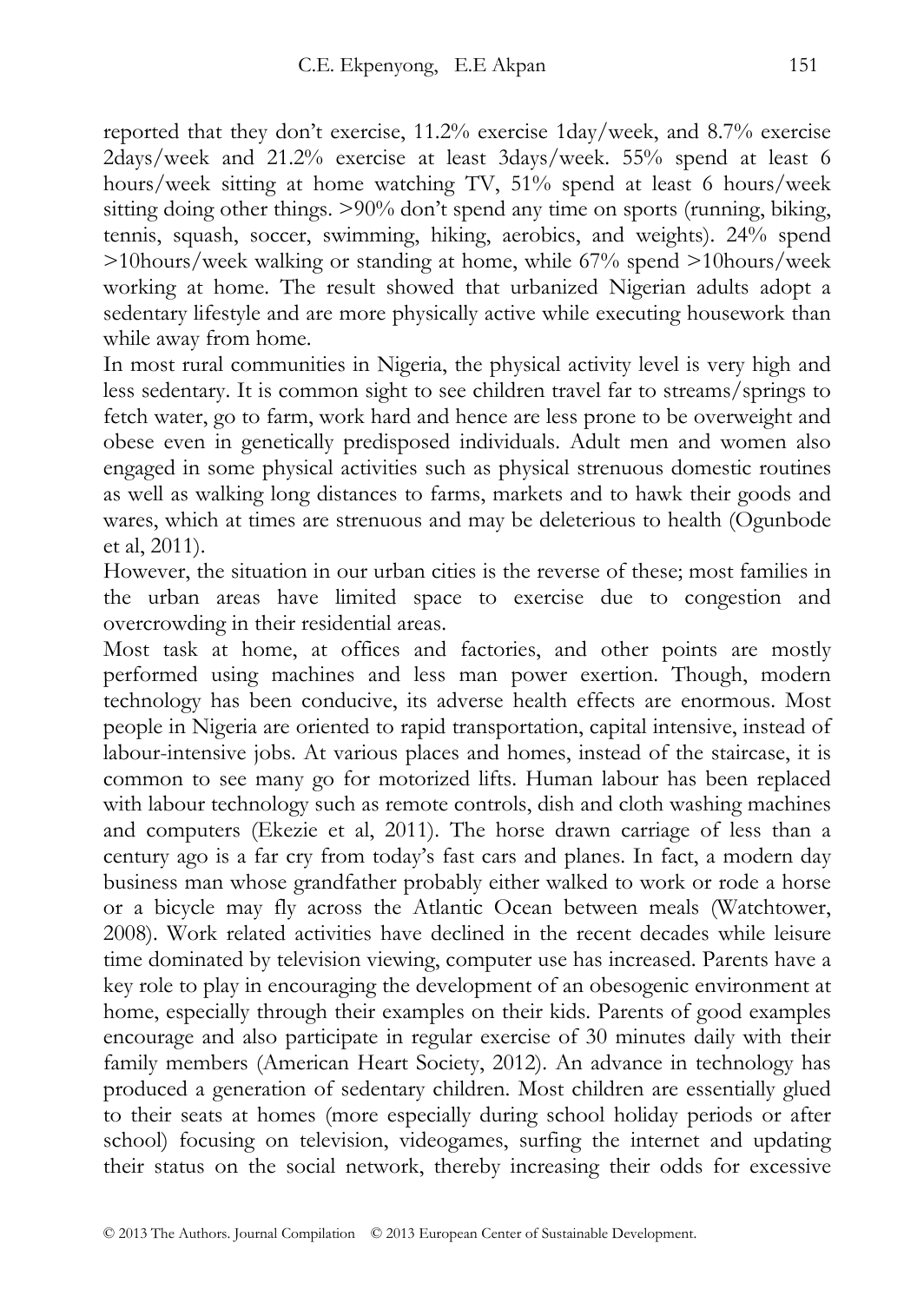reported that they don't exercise, 11.2% exercise 1day/week, and 8.7% exercise 2days/week and 21.2% exercise at least 3days/week. 55% spend at least 6 hours/week sitting at home watching TV, 51% spend at least 6 hours/week sitting doing other things. >90% don't spend any time on sports (running, biking, tennis, squash, soccer, swimming, hiking, aerobics, and weights). 24% spend >10hours/week walking or standing at home, while 67% spend >10hours/week working at home. The result showed that urbanized Nigerian adults adopt a sedentary lifestyle and are more physically active while executing housework than while away from home.

In most rural communities in Nigeria, the physical activity level is very high and less sedentary. It is common sight to see children travel far to streams/springs to fetch water, go to farm, work hard and hence are less prone to be overweight and obese even in genetically predisposed individuals. Adult men and women also engaged in some physical activities such as physical strenuous domestic routines as well as walking long distances to farms, markets and to hawk their goods and wares, which at times are strenuous and may be deleterious to health (Ogunbode et al, 2011).

However, the situation in our urban cities is the reverse of these; most families in the urban areas have limited space to exercise due to congestion and overcrowding in their residential areas.

Most task at home, at offices and factories, and other points are mostly performed using machines and less man power exertion. Though, modern technology has been conducive, its adverse health effects are enormous. Most people in Nigeria are oriented to rapid transportation, capital intensive, instead of labour-intensive jobs. At various places and homes, instead of the staircase, it is common to see many go for motorized lifts. Human labour has been replaced with labour technology such as remote controls, dish and cloth washing machines and computers (Ekezie et al, 2011). The horse drawn carriage of less than a century ago is a far cry from today's fast cars and planes. In fact, a modern day business man whose grandfather probably either walked to work or rode a horse or a bicycle may fly across the Atlantic Ocean between meals (Watchtower, 2008). Work related activities have declined in the recent decades while leisure time dominated by television viewing, computer use has increased. Parents have a key role to play in encouraging the development of an obesogenic environment at home, especially through their examples on their kids. Parents of good examples encourage and also participate in regular exercise of 30 minutes daily with their family members (American Heart Society, 2012). An advance in technology has produced a generation of sedentary children. Most children are essentially glued to their seats at homes (more especially during school holiday periods or after school) focusing on television, videogames, surfing the internet and updating their status on the social network, thereby increasing their odds for excessive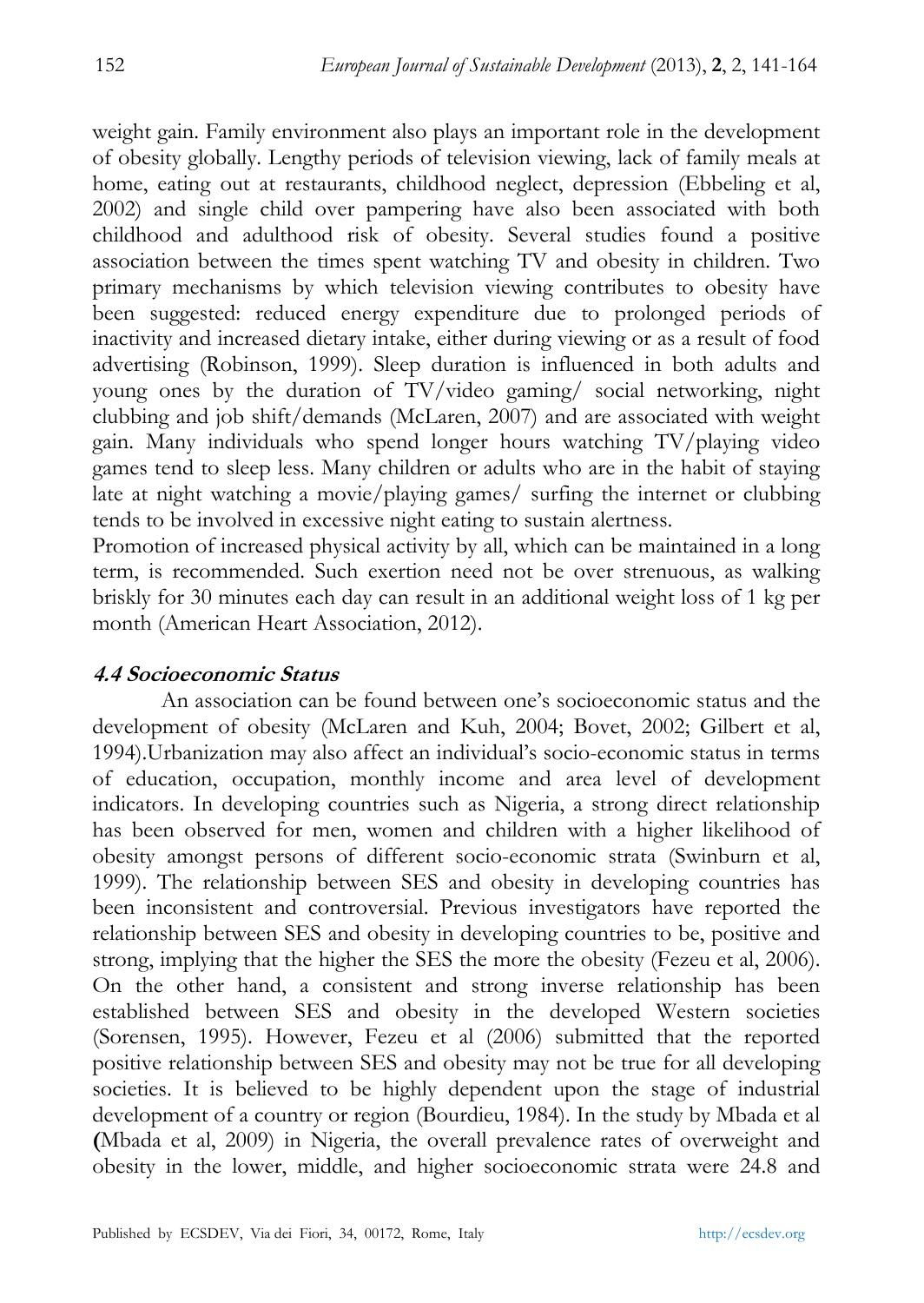weight gain. Family environment also plays an important role in the development of obesity globally. Lengthy periods of television viewing, lack of family meals at home, eating out at restaurants, childhood neglect, depression (Ebbeling et al, 2002) and single child over pampering have also been associated with both childhood and adulthood risk of obesity. Several studies found a positive association between the times spent watching TV and obesity in children. Two primary mechanisms by which television viewing contributes to obesity have been suggested: reduced energy expenditure due to prolonged periods of inactivity and increased dietary intake, either during viewing or as a result of food advertising (Robinson, 1999). Sleep duration is influenced in both adults and young ones by the duration of TV/video gaming/ social networking, night clubbing and job shift/demands (McLaren, 2007) and are associated with weight gain. Many individuals who spend longer hours watching TV/playing video games tend to sleep less. Many children or adults who are in the habit of staying late at night watching a movie/playing games/ surfing the internet or clubbing tends to be involved in excessive night eating to sustain alertness.

Promotion of increased physical activity by all, which can be maintained in a long term, is recommended. Such exertion need not be over strenuous, as walking briskly for 30 minutes each day can result in an additional weight loss of 1 kg per month (American Heart Association, 2012).

## **4.4 Socioeconomic Status**

An association can be found between one's socioeconomic status and the development of obesity (McLaren and Kuh, 2004; Bovet, 2002; Gilbert et al, 1994).Urbanization may also affect an individual's socio-economic status in terms of education, occupation, monthly income and area level of development indicators. In developing countries such as Nigeria, a strong direct relationship has been observed for men, women and children with a higher likelihood of obesity amongst persons of different socio-economic strata (Swinburn et al, 1999). The relationship between SES and obesity in developing countries has been inconsistent and controversial. Previous investigators have reported the relationship between SES and obesity in developing countries to be, positive and strong, implying that the higher the SES the more the obesity (Fezeu et al, 2006). On the other hand, a consistent and strong inverse relationship has been established between SES and obesity in the developed Western societies (Sorensen, 1995). However, Fezeu et al (2006) submitted that the reported positive relationship between SES and obesity may not be true for all developing societies. It is believed to be highly dependent upon the stage of industrial development of a country or region (Bourdieu, 1984). In the study by Mbada et al **(**Mbada et al, 2009) in Nigeria, the overall prevalence rates of overweight and obesity in the lower, middle, and higher socioeconomic strata were 24.8 and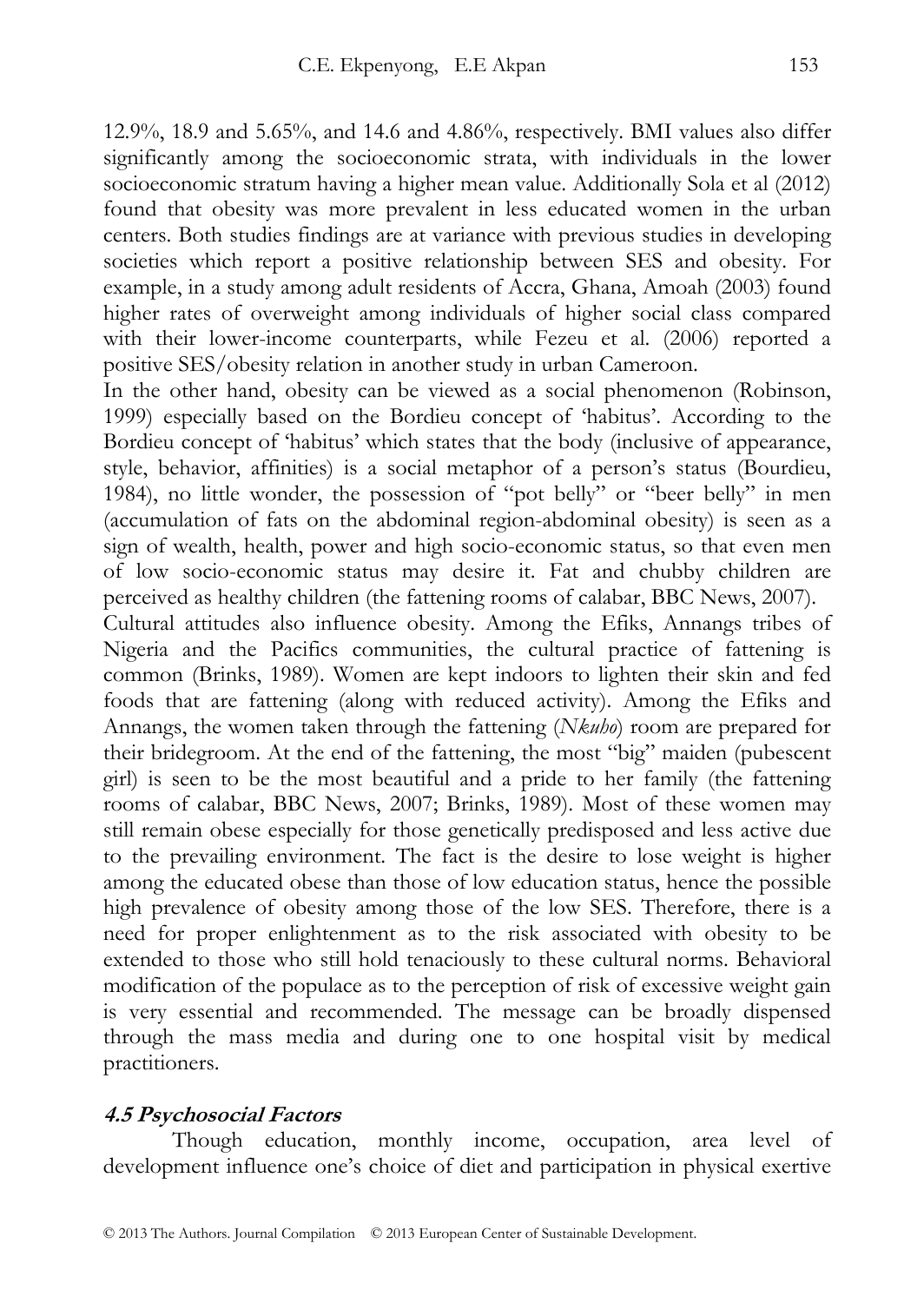12.9%, 18.9 and 5.65%, and 14.6 and 4.86%, respectively. BMI values also differ significantly among the socioeconomic strata, with individuals in the lower socioeconomic stratum having a higher mean value. Additionally Sola et al (2012) found that obesity was more prevalent in less educated women in the urban centers. Both studies findings are at variance with previous studies in developing societies which report a positive relationship between SES and obesity. For example, in a study among adult residents of Accra, Ghana, Amoah (2003) found higher rates of overweight among individuals of higher social class compared with their lower-income counterparts, while Fezeu et al. (2006) reported a positive SES/obesity relation in another study in urban Cameroon.

In the other hand, obesity can be viewed as a social phenomenon (Robinson, 1999) especially based on the Bordieu concept of 'habitus'. According to the Bordieu concept of 'habitus' which states that the body (inclusive of appearance, style, behavior, affinities) is a social metaphor of a person's status (Bourdieu, 1984), no little wonder, the possession of "pot belly" or "beer belly" in men (accumulation of fats on the abdominal region-abdominal obesity) is seen as a sign of wealth, health, power and high socio-economic status, so that even men of low socio-economic status may desire it. Fat and chubby children are perceived as healthy children (the fattening rooms of calabar, BBC News, 2007).

Cultural attitudes also influence obesity. Among the Efiks, Annangs tribes of Nigeria and the Pacifics communities, the cultural practice of fattening is common (Brinks, 1989). Women are kept indoors to lighten their skin and fed foods that are fattening (along with reduced activity). Among the Efiks and Annangs, the women taken through the fattening (*Nkuho*) room are prepared for their bridegroom. At the end of the fattening, the most "big" maiden (pubescent girl) is seen to be the most beautiful and a pride to her family (the fattening rooms of calabar, BBC News, 2007; Brinks, 1989). Most of these women may still remain obese especially for those genetically predisposed and less active due to the prevailing environment. The fact is the desire to lose weight is higher among the educated obese than those of low education status, hence the possible high prevalence of obesity among those of the low SES. Therefore, there is a need for proper enlightenment as to the risk associated with obesity to be extended to those who still hold tenaciously to these cultural norms. Behavioral modification of the populace as to the perception of risk of excessive weight gain is very essential and recommended. The message can be broadly dispensed through the mass media and during one to one hospital visit by medical practitioners.

## **4.5 Psychosocial Factors**

Though education, monthly income, occupation, area level of development influence one's choice of diet and participation in physical exertive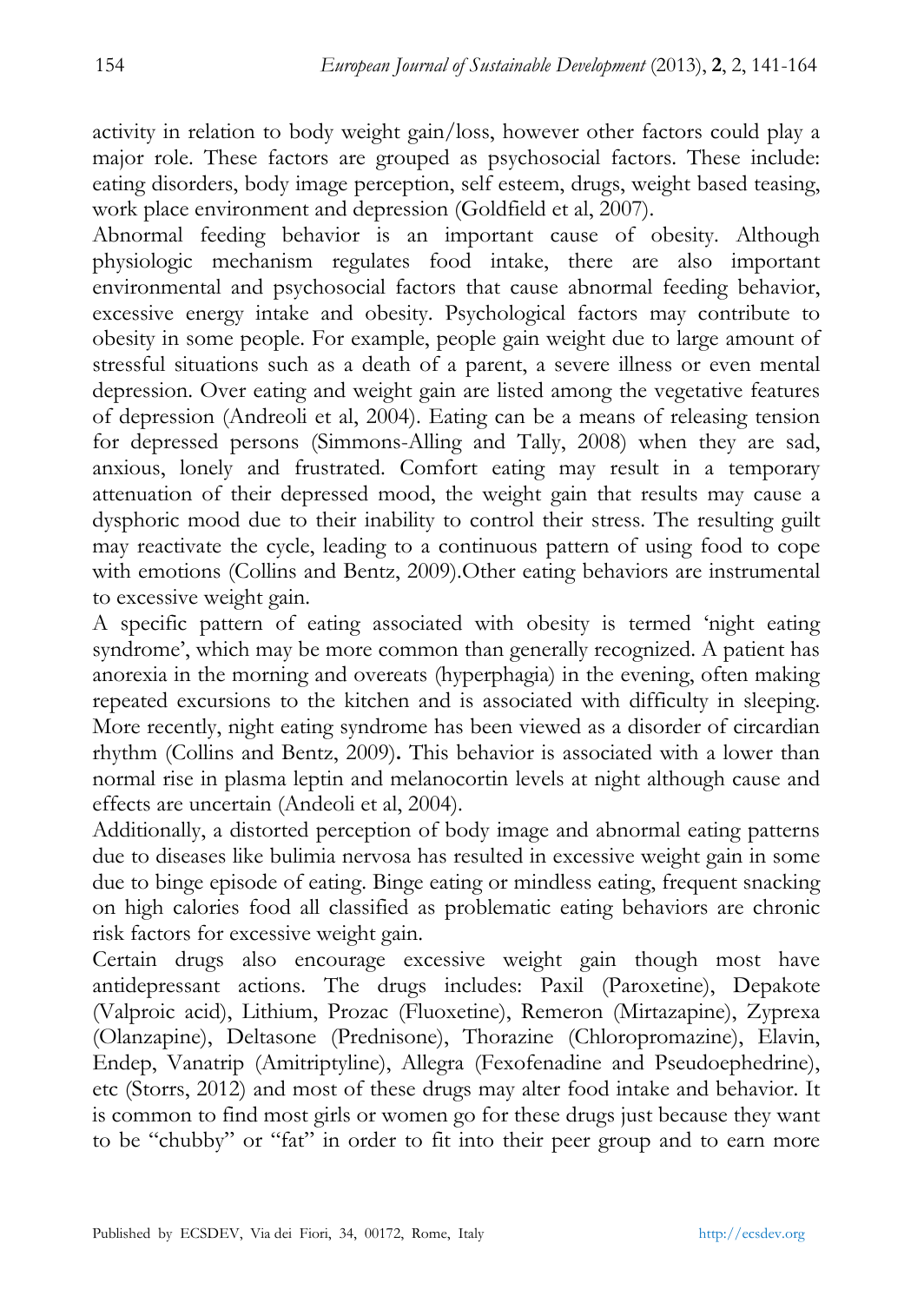activity in relation to body weight gain/loss, however other factors could play a major role. These factors are grouped as psychosocial factors. These include: eating disorders, body image perception, self esteem, drugs, weight based teasing, work place environment and depression (Goldfield et al, 2007).

Abnormal feeding behavior is an important cause of obesity. Although physiologic mechanism regulates food intake, there are also important environmental and psychosocial factors that cause abnormal feeding behavior, excessive energy intake and obesity. Psychological factors may contribute to obesity in some people. For example, people gain weight due to large amount of stressful situations such as a death of a parent, a severe illness or even mental depression. Over eating and weight gain are listed among the vegetative features of depression (Andreoli et al, 2004). Eating can be a means of releasing tension for depressed persons (Simmons-Alling and Tally, 2008) when they are sad, anxious, lonely and frustrated. Comfort eating may result in a temporary attenuation of their depressed mood, the weight gain that results may cause a dysphoric mood due to their inability to control their stress. The resulting guilt may reactivate the cycle, leading to a continuous pattern of using food to cope with emotions (Collins and Bentz, 2009).Other eating behaviors are instrumental to excessive weight gain.

A specific pattern of eating associated with obesity is termed 'night eating syndrome', which may be more common than generally recognized. A patient has anorexia in the morning and overeats (hyperphagia) in the evening, often making repeated excursions to the kitchen and is associated with difficulty in sleeping. More recently, night eating syndrome has been viewed as a disorder of circardian rhythm (Collins and Bentz, 2009)**.** This behavior is associated with a lower than normal rise in plasma leptin and melanocortin levels at night although cause and effects are uncertain (Andeoli et al, 2004).

Additionally, a distorted perception of body image and abnormal eating patterns due to diseases like bulimia nervosa has resulted in excessive weight gain in some due to binge episode of eating. Binge eating or mindless eating, frequent snacking on high calories food all classified as problematic eating behaviors are chronic risk factors for excessive weight gain.

Certain drugs also encourage excessive weight gain though most have antidepressant actions. The drugs includes: Paxil (Paroxetine), Depakote (Valproic acid), Lithium, Prozac (Fluoxetine), Remeron (Mirtazapine), Zyprexa (Olanzapine), Deltasone (Prednisone), Thorazine (Chloropromazine), Elavin, Endep, Vanatrip (Amitriptyline), Allegra (Fexofenadine and Pseudoephedrine), etc (Storrs, 2012) and most of these drugs may alter food intake and behavior. It is common to find most girls or women go for these drugs just because they want to be "chubby" or "fat" in order to fit into their peer group and to earn more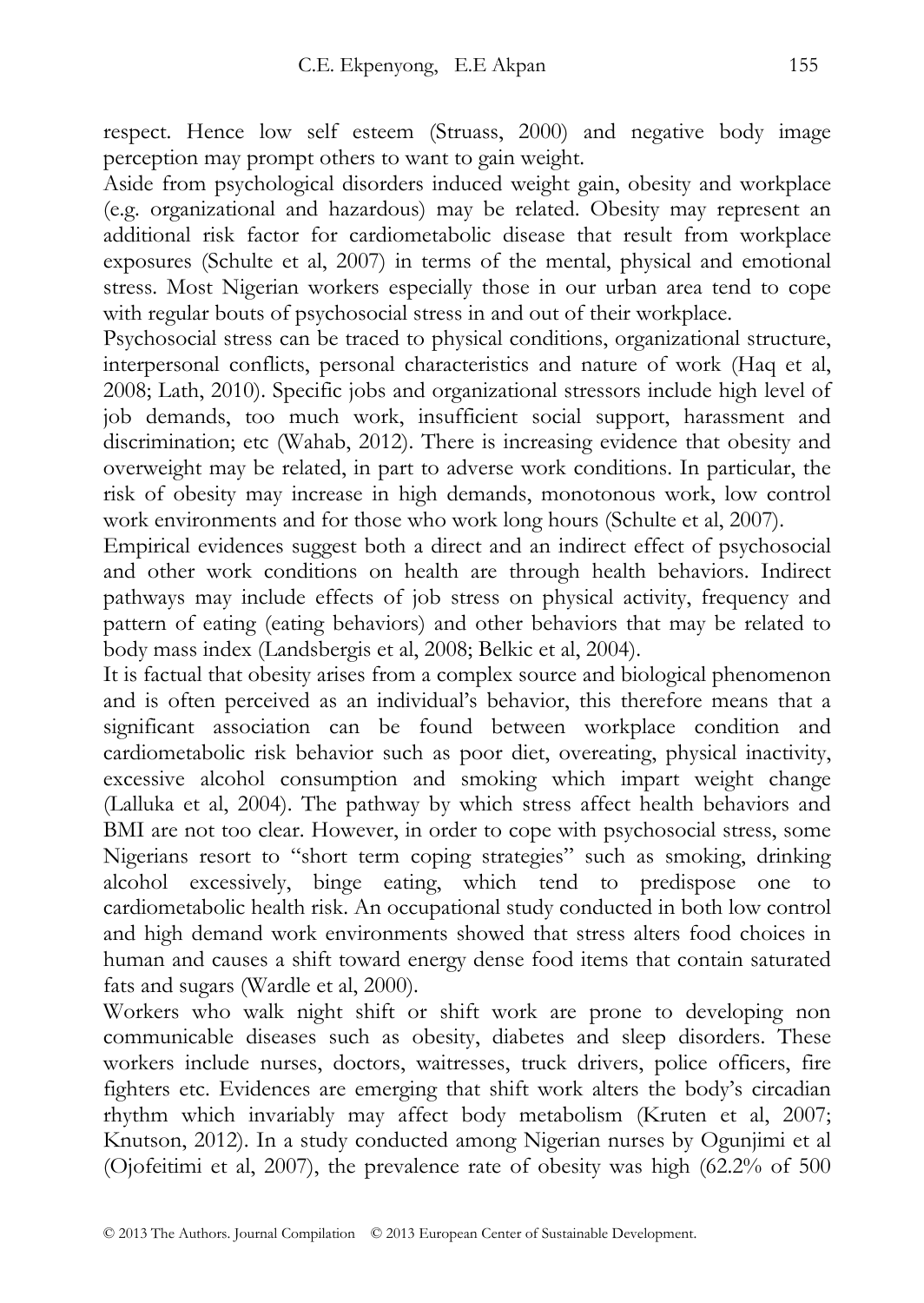respect. Hence low self esteem (Struass, 2000) and negative body image perception may prompt others to want to gain weight.

Aside from psychological disorders induced weight gain, obesity and workplace (e.g. organizational and hazardous) may be related. Obesity may represent an additional risk factor for cardiometabolic disease that result from workplace exposures (Schulte et al, 2007) in terms of the mental, physical and emotional stress. Most Nigerian workers especially those in our urban area tend to cope with regular bouts of psychosocial stress in and out of their workplace.

Psychosocial stress can be traced to physical conditions, organizational structure, interpersonal conflicts, personal characteristics and nature of work (Haq et al, 2008; Lath, 2010). Specific jobs and organizational stressors include high level of job demands, too much work, insufficient social support, harassment and discrimination; etc (Wahab, 2012). There is increasing evidence that obesity and overweight may be related, in part to adverse work conditions. In particular, the risk of obesity may increase in high demands, monotonous work, low control work environments and for those who work long hours (Schulte et al, 2007).

Empirical evidences suggest both a direct and an indirect effect of psychosocial and other work conditions on health are through health behaviors. Indirect pathways may include effects of job stress on physical activity, frequency and pattern of eating (eating behaviors) and other behaviors that may be related to body mass index (Landsbergis et al, 2008; Belkic et al, 2004).

It is factual that obesity arises from a complex source and biological phenomenon and is often perceived as an individual's behavior, this therefore means that a significant association can be found between workplace condition and cardiometabolic risk behavior such as poor diet, overeating, physical inactivity, excessive alcohol consumption and smoking which impart weight change (Lalluka et al, 2004). The pathway by which stress affect health behaviors and BMI are not too clear. However, in order to cope with psychosocial stress, some Nigerians resort to "short term coping strategies" such as smoking, drinking alcohol excessively, binge eating, which tend to predispose one to cardiometabolic health risk. An occupational study conducted in both low control and high demand work environments showed that stress alters food choices in human and causes a shift toward energy dense food items that contain saturated fats and sugars (Wardle et al, 2000).

Workers who walk night shift or shift work are prone to developing non communicable diseases such as obesity, diabetes and sleep disorders. These workers include nurses, doctors, waitresses, truck drivers, police officers, fire fighters etc. Evidences are emerging that shift work alters the body's circadian rhythm which invariably may affect body metabolism (Kruten et al, 2007; Knutson, 2012). In a study conducted among Nigerian nurses by Ogunjimi et al (Ojofeitimi et al, 2007), the prevalence rate of obesity was high (62.2% of 500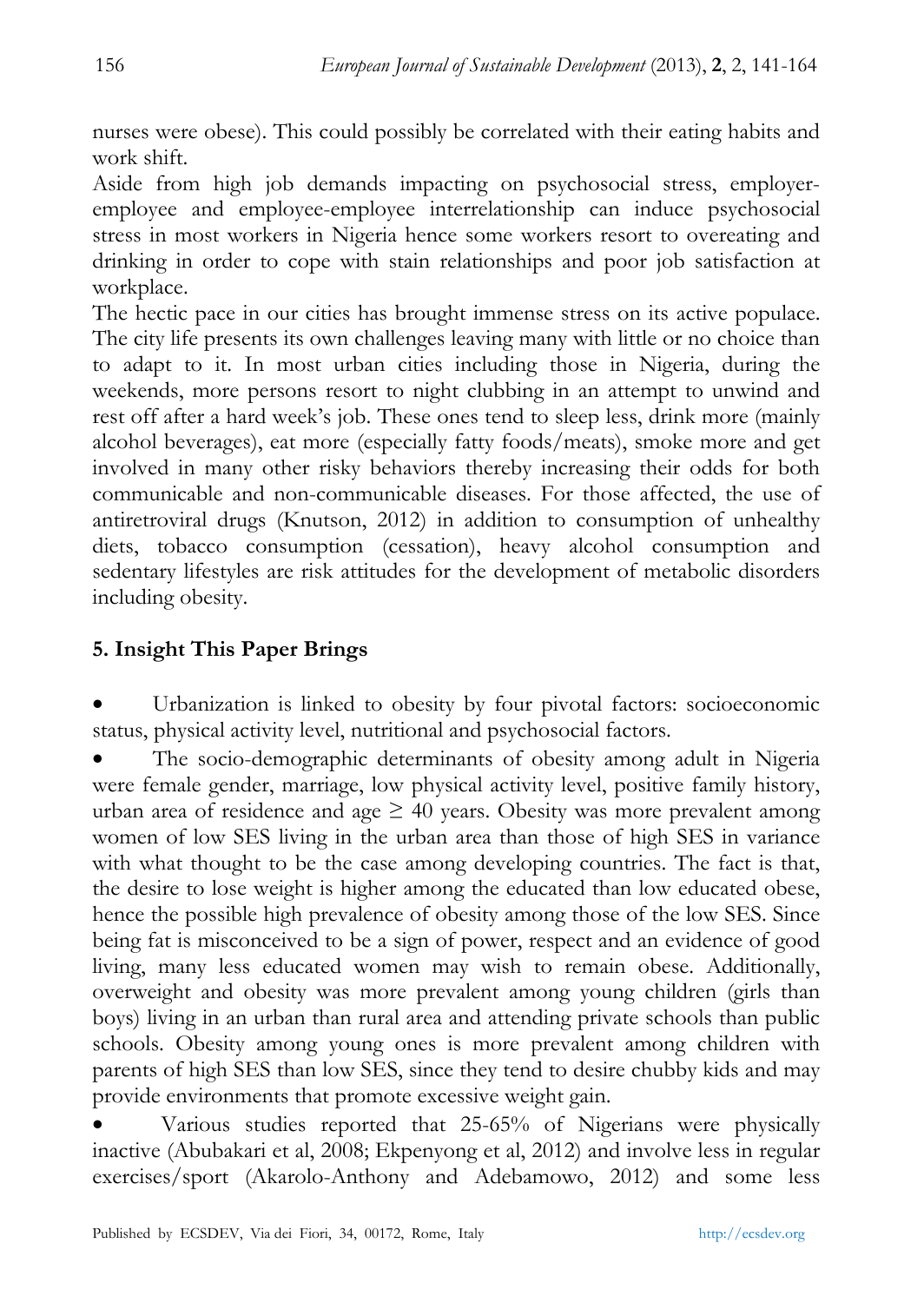nurses were obese). This could possibly be correlated with their eating habits and work shift.

Aside from high job demands impacting on psychosocial stress, employeremployee and employee-employee interrelationship can induce psychosocial stress in most workers in Nigeria hence some workers resort to overeating and drinking in order to cope with stain relationships and poor job satisfaction at workplace.

The hectic pace in our cities has brought immense stress on its active populace. The city life presents its own challenges leaving many with little or no choice than to adapt to it. In most urban cities including those in Nigeria, during the weekends, more persons resort to night clubbing in an attempt to unwind and rest off after a hard week's job. These ones tend to sleep less, drink more (mainly alcohol beverages), eat more (especially fatty foods/meats), smoke more and get involved in many other risky behaviors thereby increasing their odds for both communicable and non-communicable diseases. For those affected, the use of antiretroviral drugs (Knutson, 2012) in addition to consumption of unhealthy diets, tobacco consumption (cessation), heavy alcohol consumption and sedentary lifestyles are risk attitudes for the development of metabolic disorders including obesity.

## **5. Insight This Paper Brings**

Urbanization is linked to obesity by four pivotal factors: socioeconomic status, physical activity level, nutritional and psychosocial factors.

The socio-demographic determinants of obesity among adult in Nigeria were female gender, marriage, low physical activity level, positive family history, urban area of residence and age  $\geq 40$  years. Obesity was more prevalent among women of low SES living in the urban area than those of high SES in variance with what thought to be the case among developing countries. The fact is that, the desire to lose weight is higher among the educated than low educated obese, hence the possible high prevalence of obesity among those of the low SES. Since being fat is misconceived to be a sign of power, respect and an evidence of good living, many less educated women may wish to remain obese. Additionally, overweight and obesity was more prevalent among young children (girls than boys) living in an urban than rural area and attending private schools than public schools. Obesity among young ones is more prevalent among children with parents of high SES than low SES, since they tend to desire chubby kids and may provide environments that promote excessive weight gain.

Various studies reported that 25-65% of Nigerians were physically inactive (Abubakari et al, 2008; Ekpenyong et al, 2012) and involve less in regular exercises/sport (Akarolo-Anthony and Adebamowo, 2012) and some less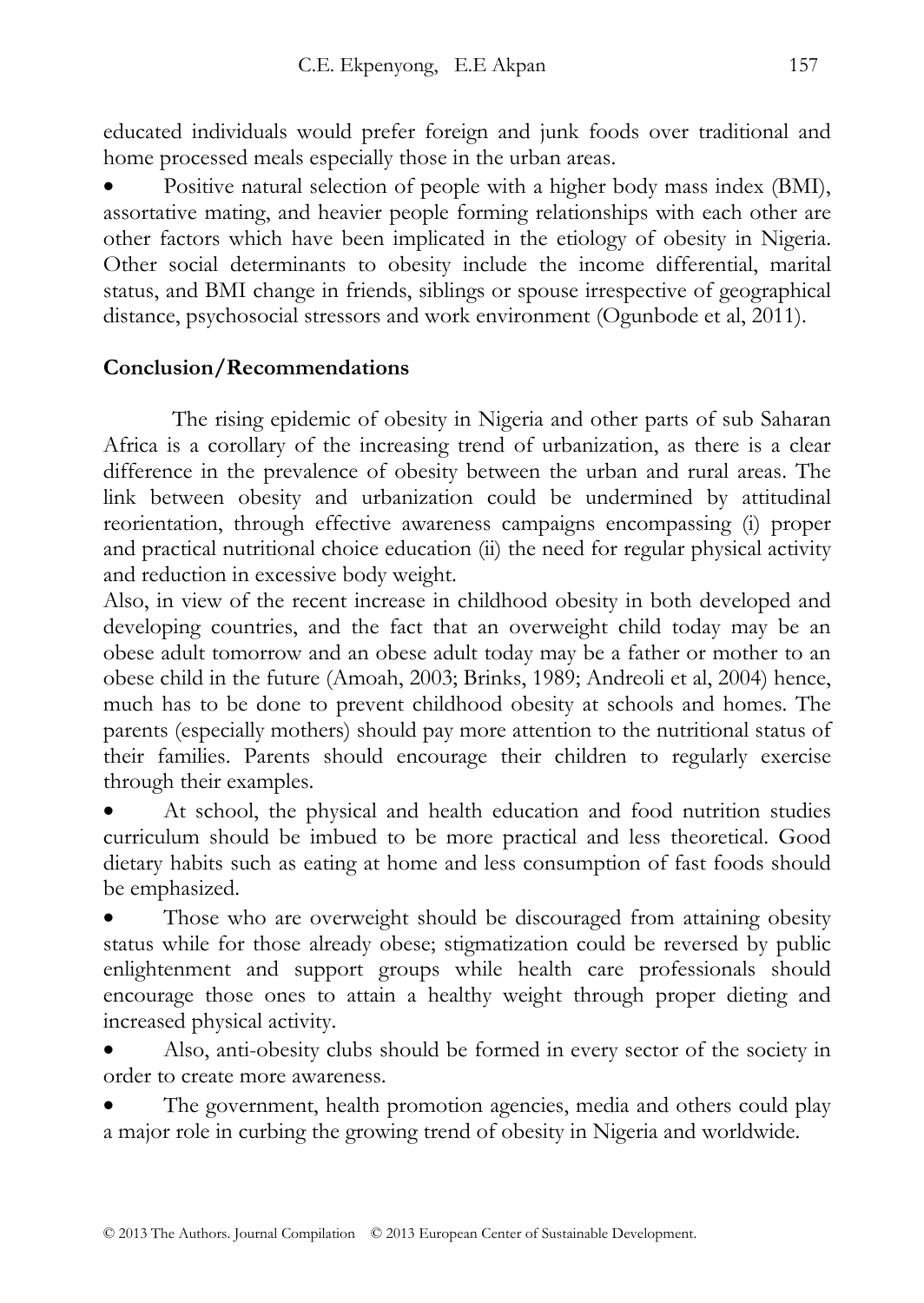educated individuals would prefer foreign and junk foods over traditional and home processed meals especially those in the urban areas.

Positive natural selection of people with a higher body mass index (BMI), assortative mating, and heavier people forming relationships with each other are other factors which have been implicated in the etiology of obesity in Nigeria. Other social determinants to obesity include the income differential, marital status, and BMI change in friends, siblings or spouse irrespective of geographical distance, psychosocial stressors and work environment (Ogunbode et al, 2011).

## **Conclusion/Recommendations**

The rising epidemic of obesity in Nigeria and other parts of sub Saharan Africa is a corollary of the increasing trend of urbanization, as there is a clear difference in the prevalence of obesity between the urban and rural areas. The link between obesity and urbanization could be undermined by attitudinal reorientation, through effective awareness campaigns encompassing (i) proper and practical nutritional choice education (ii) the need for regular physical activity and reduction in excessive body weight.

Also, in view of the recent increase in childhood obesity in both developed and developing countries, and the fact that an overweight child today may be an obese adult tomorrow and an obese adult today may be a father or mother to an obese child in the future (Amoah, 2003; Brinks, 1989; Andreoli et al, 2004) hence, much has to be done to prevent childhood obesity at schools and homes. The parents (especially mothers) should pay more attention to the nutritional status of their families. Parents should encourage their children to regularly exercise through their examples.

At school, the physical and health education and food nutrition studies curriculum should be imbued to be more practical and less theoretical. Good dietary habits such as eating at home and less consumption of fast foods should be emphasized.

Those who are overweight should be discouraged from attaining obesity status while for those already obese; stigmatization could be reversed by public enlightenment and support groups while health care professionals should encourage those ones to attain a healthy weight through proper dieting and increased physical activity.

• Also, anti-obesity clubs should be formed in every sector of the society in order to create more awareness.

The government, health promotion agencies, media and others could play a major role in curbing the growing trend of obesity in Nigeria and worldwide.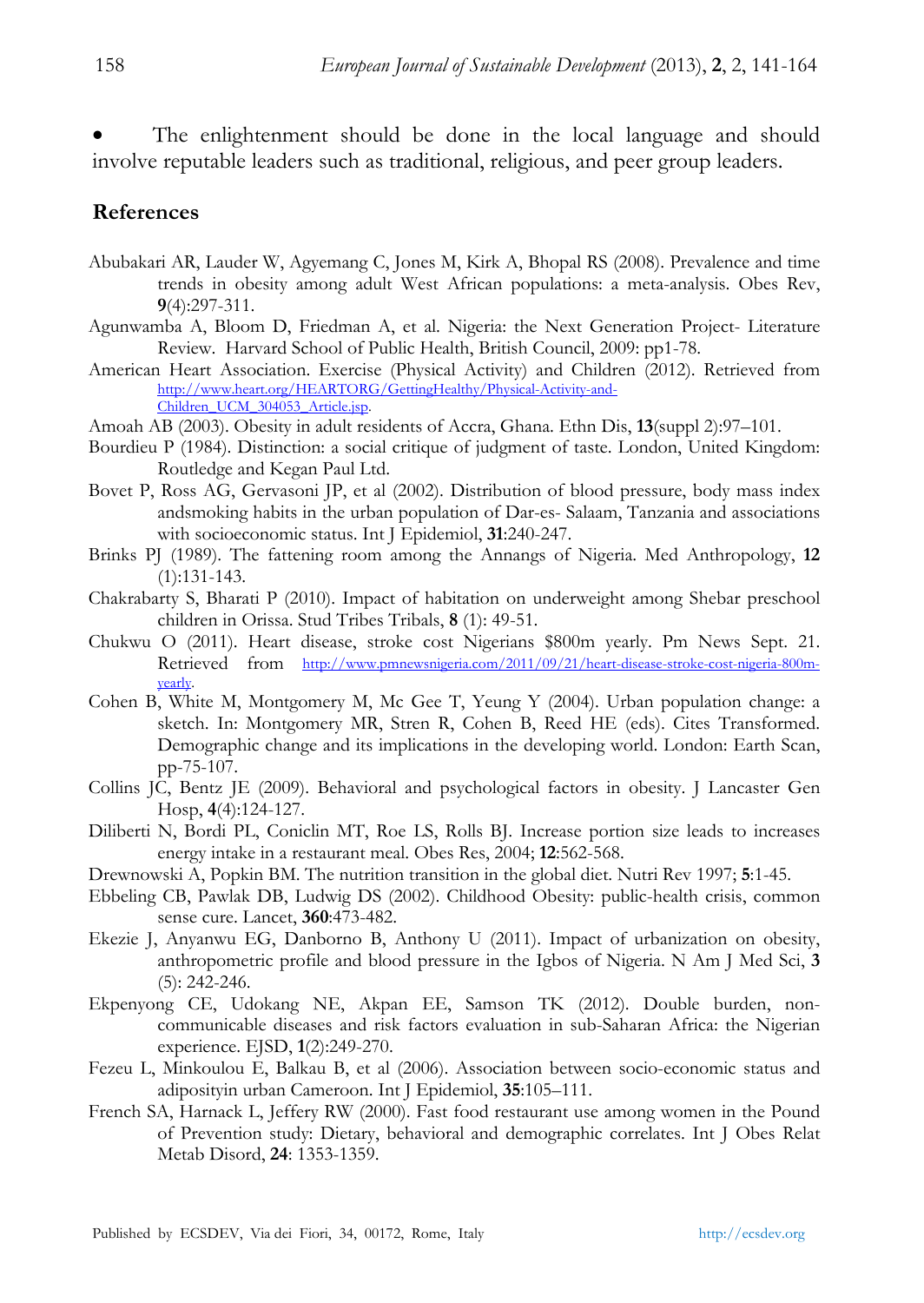The enlightenment should be done in the local language and should involve reputable leaders such as traditional, religious, and peer group leaders.

## **References**

- Abubakari AR, Lauder W, Agyemang C, Jones M, Kirk A, Bhopal RS (2008). Prevalence and time trends in obesity among adult West African populations: a meta-analysis. Obes Rev, **9**(4):297-311.
- Agunwamba A, Bloom D, Friedman A, et al. Nigeria: the Next Generation Project- Literature Review. Harvard School of Public Health, British Council, 2009: pp1-78.
- American Heart Association. Exercise (Physical Activity) and Children (2012). Retrieved from http://www.heart.org/HEARTORG/GettingHealthy/Physical-Activity-and-Children\_UCM\_304053\_Article.jsp.
- Amoah AB (2003). Obesity in adult residents of Accra, Ghana. Ethn Dis, **13**(suppl 2):97–101.
- Bourdieu P (1984). Distinction: a social critique of judgment of taste. London, United Kingdom: Routledge and Kegan Paul Ltd.
- Bovet P, Ross AG, Gervasoni JP, et al (2002). Distribution of blood pressure, body mass index andsmoking habits in the urban population of Dar-es- Salaam, Tanzania and associations with socioeconomic status. Int J Epidemiol, **31**:240-247.
- Brinks PJ (1989). The fattening room among the Annangs of Nigeria. Med Anthropology, **12** (1):131-143.
- Chakrabarty S, Bharati P (2010). Impact of habitation on underweight among Shebar preschool children in Orissa. Stud Tribes Tribals, **8** (1): 49-51.
- Chukwu O (2011). Heart disease, stroke cost Nigerians \$800m yearly. Pm News Sept. 21. Retrieved from http://www.pmnewsnigeria.com/2011/09/21/heart-disease-stroke-cost-nigeria-800myearly.
- Cohen B, White M, Montgomery M, Mc Gee T, Yeung Y (2004). Urban population change: a sketch. In: Montgomery MR, Stren R, Cohen B, Reed HE (eds). Cites Transformed. Demographic change and its implications in the developing world. London: Earth Scan, pp-75-107.
- Collins JC, Bentz JE (2009). Behavioral and psychological factors in obesity. J Lancaster Gen Hosp, **4**(4):124-127.
- Diliberti N, Bordi PL, Coniclin MT, Roe LS, Rolls BJ. Increase portion size leads to increases energy intake in a restaurant meal. Obes Res, 2004; **12**:562-568.
- Drewnowski A, Popkin BM. The nutrition transition in the global diet. Nutri Rev 1997; **5**:1-45.
- Ebbeling CB, Pawlak DB, Ludwig DS (2002). Childhood Obesity: public-health crisis, common sense cure. Lancet, **360**:473-482.
- Ekezie J, Anyanwu EG, Danborno B, Anthony U (2011). Impact of urbanization on obesity, anthropometric profile and blood pressure in the Igbos of Nigeria. N Am J Med Sci, **3** (5): 242-246.
- Ekpenyong CE, Udokang NE, Akpan EE, Samson TK (2012). Double burden, noncommunicable diseases and risk factors evaluation in sub-Saharan Africa: the Nigerian experience. EJSD, **1**(2):249-270.
- Fezeu L, Minkoulou E, Balkau B, et al (2006). Association between socio-economic status and adiposityin urban Cameroon. Int J Epidemiol, **35**:105–111.
- French SA, Harnack L, Jeffery RW (2000). Fast food restaurant use among women in the Pound of Prevention study: Dietary, behavioral and demographic correlates. Int J Obes Relat Metab Disord, **24**: 1353-1359.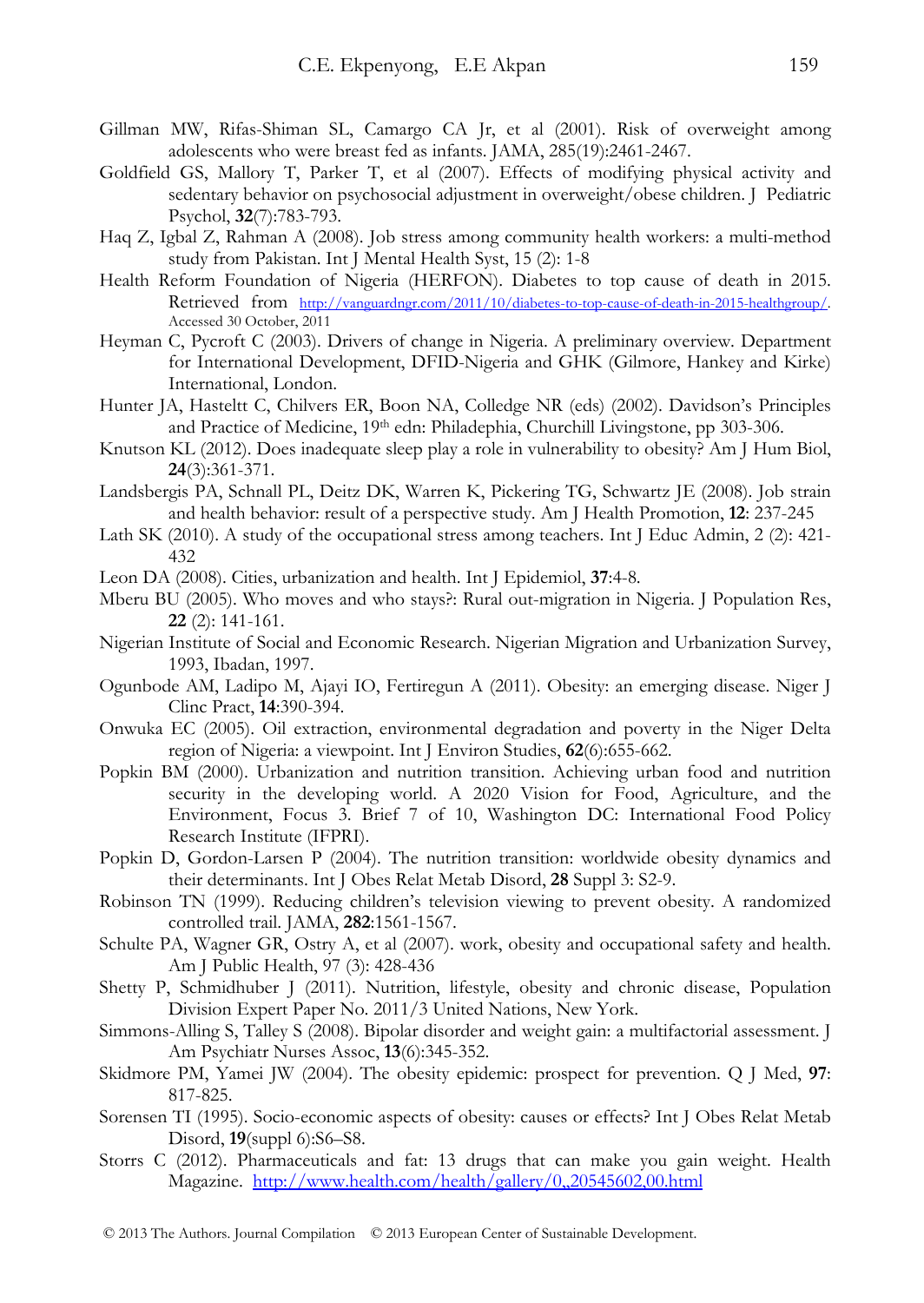- Gillman MW, Rifas-Shiman SL, Camargo CA Jr, et al (2001). Risk of overweight among adolescents who were breast fed as infants. JAMA, 285(19):2461-2467.
- Goldfield GS, Mallory T, Parker T, et al (2007). Effects of modifying physical activity and sedentary behavior on psychosocial adjustment in overweight/obese children. J Pediatric Psychol, **32**(7):783-793.
- Haq Z, Igbal Z, Rahman A (2008). Job stress among community health workers: a multi-method study from Pakistan. Int J Mental Health Syst, 15 (2): 1-8
- Health Reform Foundation of Nigeria (HERFON). Diabetes to top cause of death in 2015. Retrieved from http://vanguardngr.com/2011/10/diabetes-to-top-cause-of-death-in-2015-healthgroup/. Accessed 30 October, 2011
- Heyman C, Pycroft C (2003). Drivers of change in Nigeria. A preliminary overview. Department for International Development, DFID-Nigeria and GHK (Gilmore, Hankey and Kirke) International, London.
- Hunter JA, Hasteltt C, Chilvers ER, Boon NA, Colledge NR (eds) (2002). Davidson's Principles and Practice of Medicine, 19th edn: Philadephia, Churchill Livingstone, pp 303-306.
- Knutson KL (2012). Does inadequate sleep play a role in vulnerability to obesity? Am J Hum Biol, **24**(3):361-371.
- Landsbergis PA, Schnall PL, Deitz DK, Warren K, Pickering TG, Schwartz JE (2008). Job strain and health behavior: result of a perspective study. Am J Health Promotion, **12**: 237-245
- Lath SK (2010). A study of the occupational stress among teachers. Int J Educ Admin, 2 (2): 421- 432
- Leon DA (2008). Cities, urbanization and health. Int J Epidemiol, **37**:4-8.
- Mberu BU (2005). Who moves and who stays?: Rural out-migration in Nigeria. J Population Res, **22** (2): 141-161.
- Nigerian Institute of Social and Economic Research. Nigerian Migration and Urbanization Survey, 1993, Ibadan, 1997.
- Ogunbode AM, Ladipo M, Ajayi IO, Fertiregun A (2011). Obesity: an emerging disease. Niger J Clinc Pract, **14**:390-394.
- Onwuka EC (2005). Oil extraction, environmental degradation and poverty in the Niger Delta region of Nigeria: a viewpoint. Int J Environ Studies, **62**(6):655-662.
- Popkin BM (2000). Urbanization and nutrition transition. Achieving urban food and nutrition security in the developing world. A 2020 Vision for Food, Agriculture, and the Environment, Focus 3. Brief 7 of 10, Washington DC: International Food Policy Research Institute (IFPRI).
- Popkin D, Gordon-Larsen P (2004). The nutrition transition: worldwide obesity dynamics and their determinants. Int J Obes Relat Metab Disord, **28** Suppl 3: S2-9.
- Robinson TN (1999). Reducing children's television viewing to prevent obesity. A randomized controlled trail. JAMA, **282**:1561-1567.
- Schulte PA, Wagner GR, Ostry A, et al (2007). work, obesity and occupational safety and health. Am J Public Health, 97 (3): 428-436
- Shetty P, Schmidhuber J (2011). Nutrition, lifestyle, obesity and chronic disease, Population Division Expert Paper No. 2011/3 United Nations, New York.
- Simmons-Alling S, Talley S (2008). Bipolar disorder and weight gain: a multifactorial assessment. J Am Psychiatr Nurses Assoc, **13**(6):345-352.
- Skidmore PM, Yamei JW (2004). The obesity epidemic: prospect for prevention. Q J Med, **97**: 817-825.
- Sorensen TI (1995). Socio-economic aspects of obesity: causes or effects? Int J Obes Relat Metab Disord, **19**(suppl 6):S6–S8.
- Storrs C (2012). Pharmaceuticals and fat: 13 drugs that can make you gain weight. Health Magazine. http://www.health.com/health/gallery/0,,20545602,00.html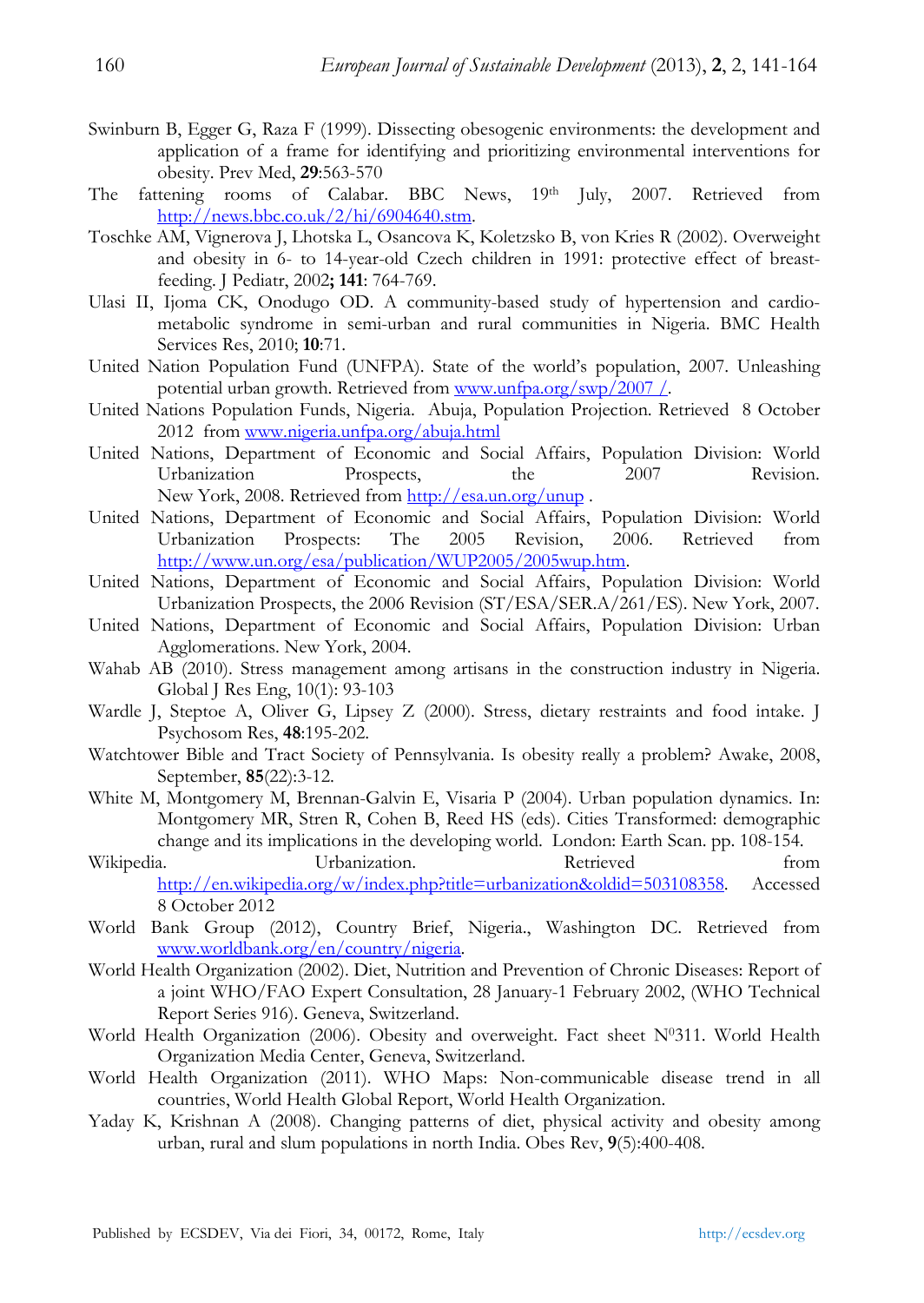- Swinburn B, Egger G, Raza F (1999). Dissecting obesogenic environments: the development and application of a frame for identifying and prioritizing environmental interventions for obesity. Prev Med, **29**:563-570
- The fattening rooms of Calabar. BBC News, 19th July, 2007. Retrieved from http://news.bbc.co.uk/2/hi/6904640.stm.
- Toschke AM, Vignerova J, Lhotska L, Osancova K, Koletzsko B, von Kries R (2002). Overweight and obesity in 6- to 14-year-old Czech children in 1991: protective effect of breastfeeding. J Pediatr, 2002**; 141**: 764-769.
- Ulasi II, Ijoma CK, Onodugo OD. A community-based study of hypertension and cardiometabolic syndrome in semi-urban and rural communities in Nigeria. BMC Health Services Res, 2010; **10**:71.
- United Nation Population Fund (UNFPA). State of the world's population, 2007. Unleashing potential urban growth. Retrieved from www.unfpa.org/swp/2007 /.
- United Nations Population Funds, Nigeria. Abuja, Population Projection. Retrieved 8 October 2012 from www.nigeria.unfpa.org/abuja.html
- United Nations, Department of Economic and Social Affairs, Population Division: World Urbanization Prospects, the 2007 Revision. New York, 2008. Retrieved from http://esa.un.org/unup .
- United Nations, Department of Economic and Social Affairs, Population Division: World Urbanization Prospects: The 2005 Revision, 2006. Retrieved from http://www.un.org/esa/publication/WUP2005/2005wup.htm.
- United Nations, Department of Economic and Social Affairs, Population Division: World Urbanization Prospects, the 2006 Revision (ST/ESA/SER.A/261/ES). New York, 2007.
- United Nations, Department of Economic and Social Affairs, Population Division: Urban Agglomerations. New York, 2004.
- Wahab AB (2010). Stress management among artisans in the construction industry in Nigeria. Global J Res Eng, 10(1): 93-103
- Wardle J, Steptoe A, Oliver G, Lipsey Z (2000). Stress, dietary restraints and food intake. J Psychosom Res, **48**:195-202.
- Watchtower Bible and Tract Society of Pennsylvania. Is obesity really a problem? Awake, 2008, September, **85**(22):3-12.
- White M, Montgomery M, Brennan-Galvin E, Visaria P (2004). Urban population dynamics. In: Montgomery MR, Stren R, Cohen B, Reed HS (eds). Cities Transformed: demographic change and its implications in the developing world. London: Earth Scan. pp. 108-154.
- Wikipedia. Urbanization. Retrieved from http://en.wikipedia.org/w/index.php?title=urbanization&oldid=503108358. Accessed 8 October 2012
- World Bank Group (2012), Country Brief, Nigeria., Washington DC. Retrieved from www.worldbank.org/en/country/nigeria.
- World Health Organization (2002). Diet, Nutrition and Prevention of Chronic Diseases: Report of a joint WHO/FAO Expert Consultation, 28 January-1 February 2002, (WHO Technical Report Series 916). Geneva, Switzerland.
- World Health Organization (2006). Obesity and overweight. Fact sheet  $N^{0}311$ . World Health Organization Media Center, Geneva, Switzerland.
- World Health Organization (2011). WHO Maps: Non-communicable disease trend in all countries, World Health Global Report, World Health Organization.
- Yaday K, Krishnan A (2008). Changing patterns of diet, physical activity and obesity among urban, rural and slum populations in north India. Obes Rev, **9**(5):400-408.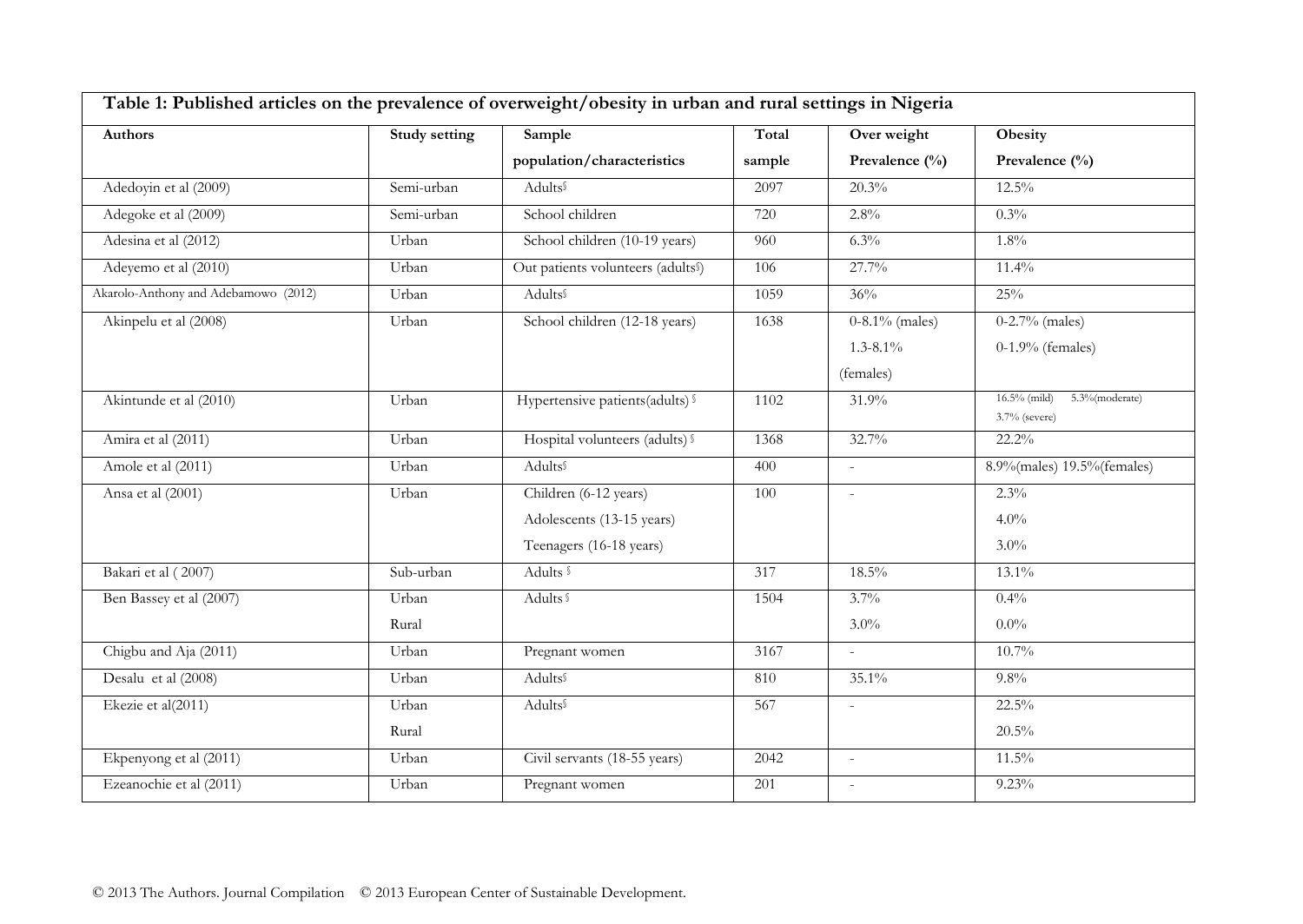| Table 1: Published articles on the prevalence of overweight/obesity in urban and rural settings in Nigeria |               |                                                |        |                   |                                                   |  |  |
|------------------------------------------------------------------------------------------------------------|---------------|------------------------------------------------|--------|-------------------|---------------------------------------------------|--|--|
| <b>Authors</b>                                                                                             | Study setting | Sample                                         | Total  | Over weight       | Obesity                                           |  |  |
|                                                                                                            |               | population/characteristics                     | sample | Prevalence $(\%)$ | Prevalence (%)                                    |  |  |
| Adedoyin et al (2009)                                                                                      | Semi-urban    | Adults                                         | 2097   | 20.3%             | $12.5\%$                                          |  |  |
| Adegoke et al (2009)                                                                                       | Semi-urban    | School children                                | 720    | 2.8%              | $0.3\%$                                           |  |  |
| Adesina et al (2012)                                                                                       | Urban         | School children (10-19 years)                  | 960    | 6.3%              | $1.8\%$                                           |  |  |
| Adeyemo et al (2010)                                                                                       | Urban         | Out patients volunteers (adults <sup>§</sup> ) | 106    | 27.7%             | 11.4%                                             |  |  |
| Akarolo-Anthony and Adebamowo (2012)                                                                       | Urban         | <b>Adults</b>                                  | 1059   | 36%               | 25%                                               |  |  |
| Akinpelu et al (2008)                                                                                      | Urban         | School children (12-18 years)                  | 1638   | $0-8.1\%$ (males) | $0-2.7%$ (males)                                  |  |  |
|                                                                                                            |               |                                                |        | $1.3 - 8.1\%$     | $0-1.9%$ (females)                                |  |  |
|                                                                                                            |               |                                                |        | (females)         |                                                   |  |  |
| Akintunde et al (2010)                                                                                     | Urban         | Hypertensive patients(adults) §                | 1102   | 31.9%             | $16.5%$ (mild)<br>5.3%(moderate)<br>3.7% (severe) |  |  |
| Amira et al (2011)                                                                                         | Urban         | Hospital volunteers (adults) §                 | 1368   | 32.7%             | 22.2%                                             |  |  |
| Amole et al (2011)                                                                                         | Urban         | Adults                                         | 400    | $\omega$          | 8.9% (males) 19.5% (females)                      |  |  |
| Ansa et al (2001)                                                                                          | Urban         | Children (6-12 years)                          | 100    | $\sim$            | 2.3%                                              |  |  |
|                                                                                                            |               | Adolescents (13-15 years)                      |        |                   | 4.0%                                              |  |  |
|                                                                                                            |               | Teenagers (16-18 years)                        |        |                   | $3.0\%$                                           |  |  |
| Bakari et al (2007)                                                                                        | Sub-urban     | Adults §                                       | 317    | 18.5%             | 13.1%                                             |  |  |
| Ben Bassey et al (2007)                                                                                    | Urban         | Adults §                                       | 1504   | 3.7%              | 0.4%                                              |  |  |
|                                                                                                            | Rural         |                                                |        | $3.0\%$           | $0.0\%$                                           |  |  |
| Chigbu and Aja (2011)                                                                                      | Urban         | Pregnant women                                 | 3167   |                   | 10.7%                                             |  |  |
| Desalu et al (2008)                                                                                        | Urban         | Adults                                         | 810    | 35.1%             | 9.8%                                              |  |  |
| Ekezie et al(2011)                                                                                         | Urban         | Adults                                         | 567    | ä,                | 22.5%                                             |  |  |
|                                                                                                            | Rural         |                                                |        |                   | 20.5%                                             |  |  |
| Ekpenyong et al (2011)                                                                                     | Urban         | Civil servants (18-55 years)                   | 2042   | $\sim$            | 11.5%                                             |  |  |
| Ezeanochie et al (2011)                                                                                    | Urban         | Pregnant women                                 | 201    |                   | 9.23%                                             |  |  |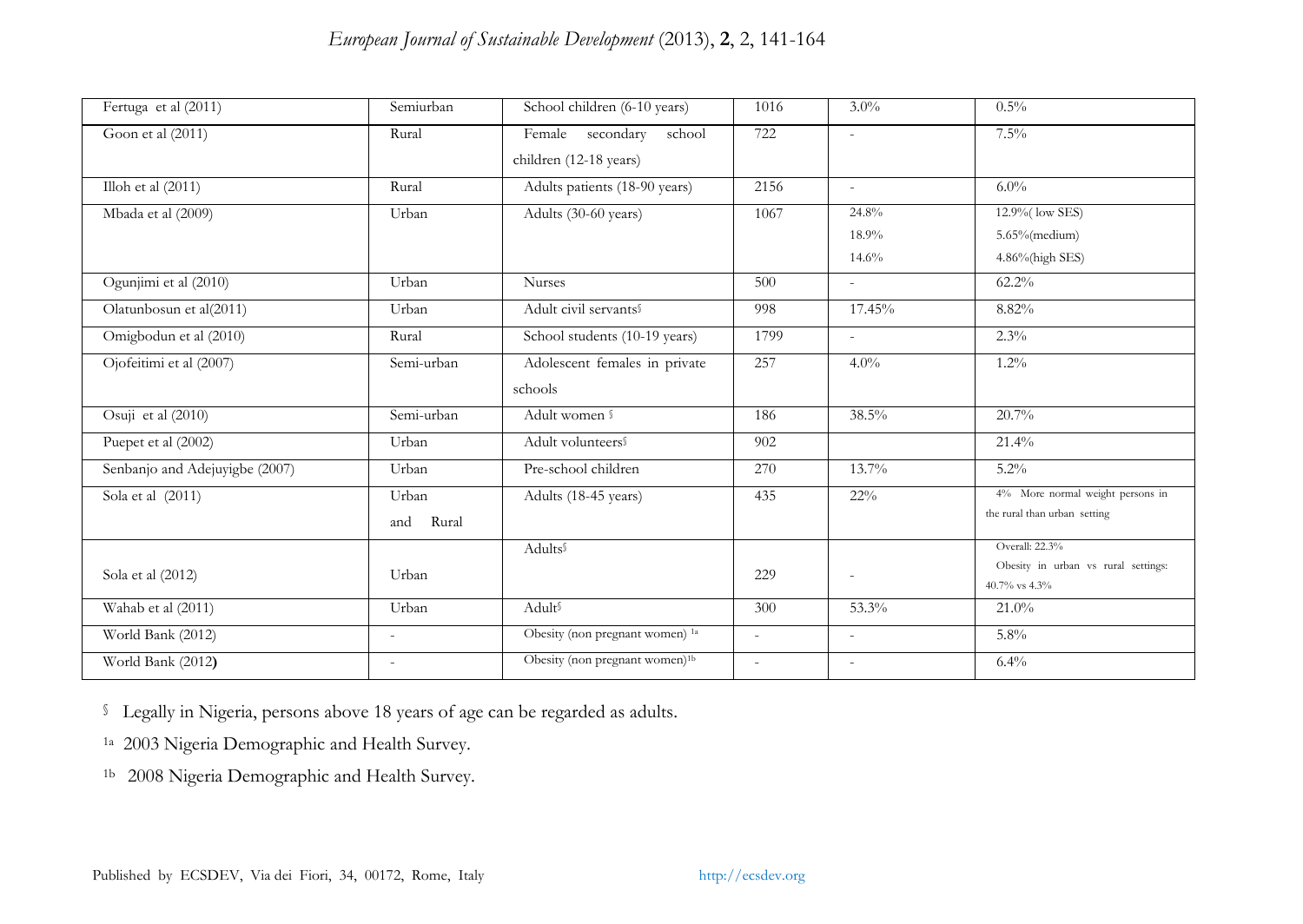| Fertuga et al (2011)           | Semiurban             | School children (6-10 years)                         | 1016   | $3.0\%$                  | $0.5\%$                                                                |
|--------------------------------|-----------------------|------------------------------------------------------|--------|--------------------------|------------------------------------------------------------------------|
| Goon et al (2011)              | Rural                 | Female secondary<br>school<br>children (12-18 years) | 722    |                          | 7.5%                                                                   |
| Illoh et al $(2011)$           | Rural                 | Adults patients (18-90 years)                        | 2156   | ÷.                       | $6.0\%$                                                                |
| Mbada et al (2009)             | Urban                 | Adults (30-60 years)                                 | 1067   | 24.8%<br>18.9%<br>14.6%  | 12.9% (low SES)<br>5.65% (medium)<br>4.86%(high SES)                   |
| Ogunjimi et al (2010)          | Urban                 | <b>Nurses</b>                                        | 500    | $\overline{\phantom{0}}$ | $62.2\%$                                                               |
| Olatunbosun et al(2011)        | Urban                 | Adult civil servants§                                | 998    | 17.45%                   | 8.82%                                                                  |
| Omigbodun et al (2010)         | Rural                 | School students (10-19 years)                        | 1799   | ÷.                       | 2.3%                                                                   |
| Ojofeitimi et al (2007)        | Semi-urban            | Adolescent females in private<br>schools             | 257    | $4.0\%$                  | $1.2\%$                                                                |
| Osuji et al (2010)             | Semi-urban            | Adult women §                                        | 186    | 38.5%                    | 20.7%                                                                  |
| Puepet et al (2002)            | Urban                 | Adult volunteers                                     | 902    |                          | 21.4%                                                                  |
| Senbanjo and Adejuyigbe (2007) | Urban                 | Pre-school children                                  | 270    | 13.7%                    | $5.2\%$                                                                |
| Sola et al (2011)              | Urban<br>Rural<br>and | Adults (18-45 years)                                 | 435    | $22\%$                   | 4% More normal weight persons in<br>the rural than urban setting       |
| Sola et al (2012)              | Urban                 | Adults                                               | 229    | ٠                        | Overall: 22.3%<br>Obesity in urban vs rural settings:<br>40.7% vs 4.3% |
| Wahab et al (2011)             | Urban                 | Adult                                                | 300    | 53.3%                    | 21.0%                                                                  |
| World Bank (2012)              | ä,                    | Obesity (non pregnant women) 1a                      | $\sim$ | $\sim$                   | 5.8%                                                                   |
| World Bank (2012)              |                       | Obesity (non pregnant women) <sup>1b</sup>           | $\sim$ |                          | 6.4%                                                                   |

§ Legally in Nigeria, persons above 18 years of age can be regarded as adults.

1a 2003 Nigeria Demographic and Health Survey.

1b 2008 Nigeria Demographic and Health Survey.